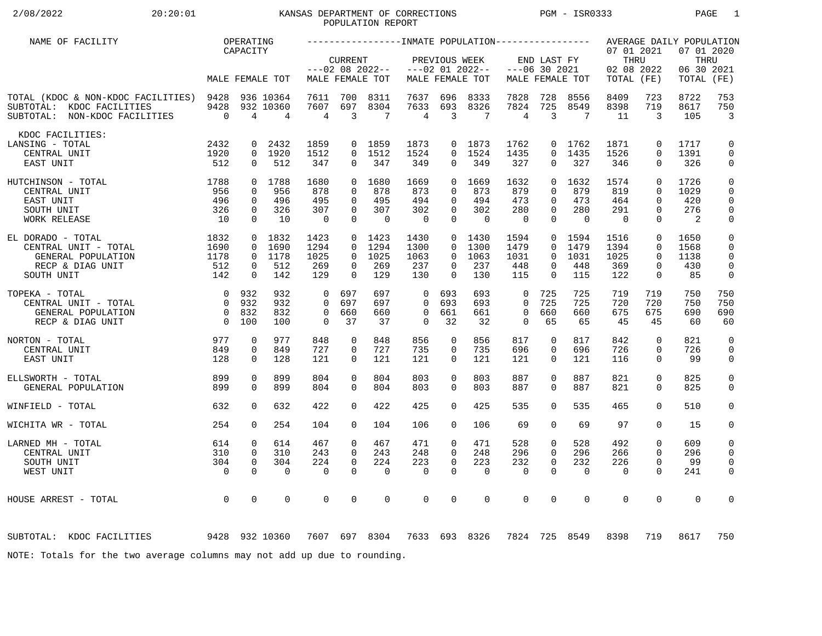# 2/08/2022 20:20:01 KANSAS DEPARTMENT OF CORRECTIONS PGM - ISR0333 PAGE 1 POPULATION REPORT

| NAME OF FACILITY                                                                                      |                                                                 | OPERATING                                          |                                      |                                              |                                                          |                                              |                                              |                                                                |                                       |                                          |                                                          |                                       |                                                |                                                             | AVERAGE DAILY POPULATION                  |                                                               |
|-------------------------------------------------------------------------------------------------------|-----------------------------------------------------------------|----------------------------------------------------|--------------------------------------|----------------------------------------------|----------------------------------------------------------|----------------------------------------------|----------------------------------------------|----------------------------------------------------------------|---------------------------------------|------------------------------------------|----------------------------------------------------------|---------------------------------------|------------------------------------------------|-------------------------------------------------------------|-------------------------------------------|---------------------------------------------------------------|
|                                                                                                       |                                                                 | CAPACITY                                           | MALE FEMALE TOT                      |                                              | <b>CURRENT</b>                                           | $---02$ 08 2022--<br>MALE FEMALE TOT         |                                              | PREVIOUS WEEK                                                  | $---02$ 01 2022--<br>MALE FEMALE TOT  |                                          | END LAST FY<br>$---06$ 30 2021                           | MALE FEMALE TOT                       | 07 01 2021<br>THRU<br>02 08 2022<br>TOTAL (FE) |                                                             | 07 01 2020<br>THRU<br>06 30 2021<br>TOTAL | (FE)                                                          |
| TOTAL (KDOC & NON-KDOC FACILITIES) 9428<br>SUBTOTAL: KDOC FACILITIES<br>SUBTOTAL: NON-KDOC FACILITIES | 9428<br>$\overline{0}$                                          | $\overline{4}$                                     | 936 10364<br>932 10360<br>4          | 7611<br>7607<br>4                            | 700<br>697<br>$\overline{3}$                             | 8311<br>8304<br>7                            | 7637<br>7633<br>4                            | 696<br>693<br>$\overline{3}$                                   | 8333<br>8326<br>7                     | 7828<br>7824<br>$\overline{4}$           | 728<br>725<br>3                                          | 8556<br>8549<br>7                     | 8409<br>8398<br>11                             | 723<br>719<br>3                                             | 8722<br>8617<br>105                       | 753<br>750<br>$\overline{3}$                                  |
| KDOC FACILITIES:<br>LANSING - TOTAL<br>CENTRAL UNIT<br>EAST UNIT                                      | 2432<br>1920<br>512                                             | 0<br>$\Omega$                                      | 2432<br>0 1920<br>512                | 1859<br>1512<br>347                          | $\overline{0}$<br>$\Omega$<br>$\Omega$                   | 1859<br>1512<br>347                          | 1873<br>1524<br>349                          | $\Omega$<br>0                                                  | 0 1873<br>1524<br>349                 | 1762<br>1435<br>327                      | 0<br>$\Omega$<br>$\Omega$                                | 1762<br>1435<br>327                   | 1871<br>1526<br>346                            | $\mathbf 0$<br>$\Omega$<br>$\Omega$                         | 1717<br>1391<br>326                       | 0<br>$\mathsf{O}$<br>0                                        |
| 1788<br>HUTCHINSON - TOTAL<br>CENTRAL UNIT<br>EAST UNIT<br>SOUTH UNIT<br><b>WORK RELEASE</b>          | 956<br>496<br>326<br>10                                         | $\Omega$<br>$\mathbf 0$<br>$\mathbf 0$<br>$\Omega$ | 0 1788<br>956<br>496<br>326<br>10    | 1680<br>878<br>495<br>307<br>$\overline{0}$  | $\Omega$<br>$\Omega$<br>$\Omega$<br>$\Omega$<br>$\Omega$ | 1680<br>878<br>495<br>307<br>$\Omega$        | 1669<br>873<br>494<br>302<br>$\overline{0}$  | $\Omega$<br>$\Omega$<br>$\mathbf 0$<br>$\mathbf 0$<br>$\Omega$ | 1669<br>873<br>494<br>302<br>$\Omega$ | 1632<br>879<br>473<br>280<br>$\mathbf 0$ | $\Omega$<br>$\Omega$<br>$\Omega$<br>$\Omega$<br>$\Omega$ | 1632<br>879<br>473<br>280<br>$\Omega$ | 1574<br>819<br>464<br>291<br>$\Omega$          | $\Omega$<br>$\Omega$<br>$\Omega$<br>$\mathbf 0$<br>$\Omega$ | 1726<br>1029<br>420<br>276<br>2           | $\mathbf 0$<br>$\mathbf 0$<br>$\mathbf 0$<br>$\mathbf 0$<br>0 |
| EL DORADO - TOTAL<br>CENTRAL UNIT - TOTAL<br>GENERAL POPULATION<br>RECP & DIAG UNIT<br>SOUTH UNIT     | 1832<br>1690<br>1178<br>512<br>142                              | $\mathbf 0$<br>$\mathbf{0}$<br>0<br>$\mathbf 0$    | 0 1832<br>1690<br>1178<br>512<br>142 | 1423<br>1294<br>1025<br>269<br>129           | $\Omega$<br>$\Omega$<br>0<br>$\Omega$                    | $0 \quad 1423$<br>1294<br>1025<br>269<br>129 | 1430<br>1300<br>1063<br>237<br>130           | $\Omega$<br>$\Omega$<br>$\overline{0}$<br>$\Omega$             | 0 1430<br>1300<br>1063<br>237<br>130  | 1594<br>1479<br>1031<br>448<br>115       | $\overline{0}$<br>$\Omega$<br>$\Omega$<br>0<br>$\Omega$  | 1594<br>1479<br>1031<br>448<br>115    | 1516<br>1394<br>1025<br>369<br>122             | $\mathbf 0$<br>$\mathbf 0$<br>$\Omega$<br>0<br>$\mathbf 0$  | 1650<br>1568<br>1138<br>430<br>85         | 0<br>0<br>$\mathbf 0$<br>$\mathbf 0$<br>0                     |
| TOPEKA - TOTAL<br>CENTRAL UNIT - TOTAL<br>GENERAL POPULATION<br>RECP & DIAG UNIT                      | $\overline{0}$<br>$\bigcap$<br>$\overline{0}$<br>$\overline{0}$ | 932<br>932<br>832<br>100                           | 932<br>932<br>832<br>100             | $\Omega$<br>$\Omega$<br>$\Omega$<br>$\Omega$ | 697<br>697<br>660<br>37                                  | 697<br>697<br>660<br>37                      | $\Omega$<br>$\Omega$<br>$\Omega$<br>$\Omega$ | 693<br>693<br>661<br>32                                        | 693<br>693<br>661<br>32               | 0<br>$\Omega$<br>$\mathbf 0$<br>$\Omega$ | 725<br>725<br>660<br>65                                  | 725<br>725<br>660<br>65               | 719<br>720<br>675<br>45                        | 719<br>720<br>675<br>45                                     | 750<br>750<br>690<br>60                   | 750<br>750<br>690<br>60                                       |
| NORTON - TOTAL<br>CENTRAL UNIT<br>EAST UNIT                                                           | 977<br>849<br>128                                               | $\mathbf 0$<br>$\mathbf 0$<br>$\Omega$             | 977<br>849<br>128                    | 848<br>727<br>121                            | $\mathbf 0$<br>$\Omega$<br>$\Omega$                      | 848<br>727<br>121                            | 856<br>735<br>121                            | $\mathbf 0$<br>0<br>$\Omega$                                   | 856<br>735<br>121                     | 817<br>696<br>121                        | $\mathbf 0$<br>0<br>$\Omega$                             | 817<br>696<br>121                     | 842<br>726<br>116                              | $\Omega$<br>$\mathbf 0$<br>$\Omega$                         | 821<br>726<br>99                          | $\mathbf 0$<br>$\mathbf 0$<br>$\mathbf 0$                     |
| ELLSWORTH - TOTAL<br>GENERAL POPULATION                                                               | 899<br>899                                                      | 0<br>$\mathbf 0$                                   | 899<br>899                           | 804<br>804                                   | $\Omega$<br>$\Omega$                                     | 804<br>804                                   | 803<br>803                                   | 0<br>$\Omega$                                                  | 803<br>803                            | 887<br>887                               | 0<br>$\Omega$                                            | 887<br>887                            | 821<br>821                                     | $\mathbf 0$<br>$\mathbf 0$                                  | 825<br>825                                | 0<br>$\mathbf 0$                                              |
| WINFIELD - TOTAL                                                                                      | 632                                                             | $\Omega$                                           | 632                                  | 422                                          | $\Omega$                                                 | 422                                          | 425                                          | $\mathbf 0$                                                    | 425                                   | 535                                      | 0                                                        | 535                                   | 465                                            | $\mathbf 0$                                                 | 510                                       | 0                                                             |
| WICHITA WR - TOTAL                                                                                    | 254                                                             | $\Omega$                                           | 254                                  | 104                                          | $\Omega$                                                 | 104                                          | 106                                          | $\Omega$                                                       | 106                                   | 69                                       | $\Omega$                                                 | 69                                    | 97                                             | $\Omega$                                                    | 15                                        | 0                                                             |
| LARNED MH - TOTAL<br>CENTRAL UNIT<br>SOUTH UNIT<br>WEST UNIT                                          | 614<br>310<br>304<br>$\overline{0}$                             | 0<br>$\Omega$<br>$\mathbf 0$<br>$\Omega$           | 614<br>310<br>304<br>$\Omega$        | 467<br>243<br>224<br>$\Omega$                | $\Omega$<br>$\Omega$<br>$\Omega$<br>$\Omega$             | 467<br>243<br>224<br>$\mathbf 0$             | 471<br>248<br>223<br>$\mathbf 0$             | 0<br>$\Omega$<br>$\Omega$<br>$\Omega$                          | 471<br>248<br>223<br>$\mathbf 0$      | 528<br>296<br>232<br>$\mathbf 0$         | 0<br>$\Omega$<br>$\Omega$<br>$\Omega$                    | 528<br>296<br>232<br>$\mathbf 0$      | 492<br>266<br>226<br>$\Omega$                  | $\mathbf 0$<br>$\Omega$<br>$\mathbf 0$<br>$\Omega$          | 609<br>296<br>99<br>241                   | $\mathbf 0$<br>$\mathbf 0$<br>$\mathbf 0$<br>$\mathbf 0$      |
| HOUSE ARREST - TOTAL                                                                                  | $\overline{0}$                                                  | $\mathbf 0$                                        | 0                                    | $\Omega$                                     | $\Omega$                                                 | $\mathbf 0$                                  | 0                                            | $\mathbf 0$                                                    | $\Omega$                              | $\mathbf 0$                              | $\Omega$                                                 | $\mathbf 0$                           | $\mathbf 0$                                    | $\mathbf 0$                                                 | $\Omega$                                  | $\mathbf 0$                                                   |
| 9428 932 10360<br>SUBTOTAL: KDOC FACILITIES                                                           |                                                                 |                                                    |                                      |                                              |                                                          | 7607 697 8304                                |                                              |                                                                | 7633 693 8326                         | 7824                                     |                                                          | 725 8549                              | 8398                                           | 719                                                         | 8617                                      | 750                                                           |
| NOTE: Totals for the two average columns may not add up due to rounding.                              |                                                                 |                                                    |                                      |                                              |                                                          |                                              |                                              |                                                                |                                       |                                          |                                                          |                                       |                                                |                                                             |                                           |                                                               |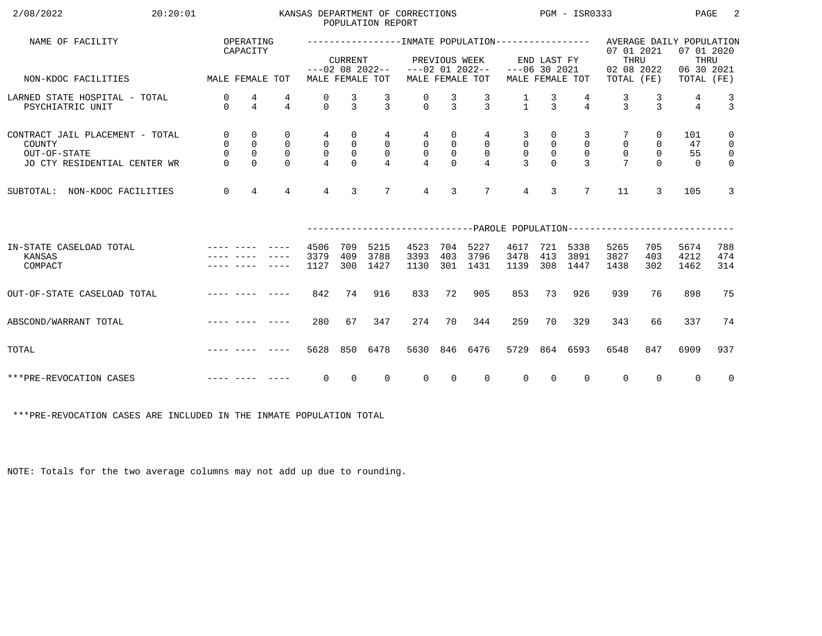| 2/08/2022<br>20:20:01                                                                     |                                               |                                              |                                             |                                                   |                                                          | POPULATION REPORT                   | KANSAS DEPARTMENT OF CORRECTIONS   |                                               |                                                      | PGM - ISR0333                                   |                                                |                                                 |                                                                     |                                              | PAGE                                                         | 2                                                                        |
|-------------------------------------------------------------------------------------------|-----------------------------------------------|----------------------------------------------|---------------------------------------------|---------------------------------------------------|----------------------------------------------------------|-------------------------------------|------------------------------------|-----------------------------------------------|------------------------------------------------------|-------------------------------------------------|------------------------------------------------|-------------------------------------------------|---------------------------------------------------------------------|----------------------------------------------|--------------------------------------------------------------|--------------------------------------------------------------------------|
| NAME OF FACILITY                                                                          |                                               | OPERATING<br>CAPACITY                        |                                             |                                                   | <b>CURRENT</b>                                           | $---02$ 08 2022--                   |                                    | PREVIOUS WEEK                                 | $---02$ 01 2022--                                    | $---06$ 30 2021                                 | END LAST FY                                    |                                                 | 07 01 2021<br>THRU<br>02 08 2022                                    |                                              | AVERAGE DAILY POPULATION<br>07 01 2020<br>THRU<br>06 30 2021 |                                                                          |
| NON-KDOC FACILITIES                                                                       | MALE FEMALE TOT                               |                                              |                                             |                                                   |                                                          | MALE FEMALE TOT                     |                                    |                                               | MALE FEMALE TOT                                      |                                                 |                                                | MALE FEMALE TOT                                 | TOTAL (FE)                                                          |                                              | TOTAL (FE)                                                   |                                                                          |
| LARNED STATE HOSPITAL - TOTAL<br>PSYCHIATRIC UNIT                                         | $\mathbf 0$<br>$\Omega$                       | 4<br>$\overline{4}$                          | 4<br>$\overline{4}$                         | 0<br>$\Omega$                                     | $\frac{3}{3}$                                            | $\mathcal{R}$                       | $\Omega$                           | 3<br>$\mathcal{E}$                            | $\frac{3}{3}$                                        | $\frac{1}{1}$                                   | $\frac{3}{3}$                                  | $\overline{4}$                                  | 3<br>$\mathbf{z}$                                                   | 3<br>$\mathbf{z}$                            | 4<br>$\overline{4}$                                          | $\frac{3}{3}$                                                            |
| CONTRACT JAIL PLACEMENT - TOTAL<br>COUNTY<br>OUT-OF-STATE<br>JO CTY RESIDENTIAL CENTER WR | $\mathsf{O}$<br>0<br>$\mathsf{O}$<br>$\Omega$ | 0<br>$\mathsf{O}$<br>$\mathbf 0$<br>$\Omega$ | 0<br>$\mathbf 0$<br>$\mathbf 0$<br>$\Omega$ | 4<br>$\mathbf 0$<br>$\mathbf 0$<br>$\overline{4}$ | $\mathsf{O}$<br>$\mathsf{O}$<br>$\mathsf{O}$<br>$\Omega$ | 4<br>$\mathsf{O}$<br>$\overline{0}$ | 4<br>$\overline{0}$<br>$\mathsf 0$ | 0<br>$\mathsf{O}$<br>$\mathsf{O}$<br>$\Omega$ | 4<br>$\overline{0}$<br>$\mathbf 0$<br>$\overline{4}$ | 3<br>$\mathbf 0$<br>$\mathsf 0$<br>$\mathbf{3}$ | 0<br>$\overline{0}$<br>$\mathbb O$<br>$\Omega$ | 3<br>$\mathbf 0$<br>$\mathbf 0$<br>$\mathbf{3}$ | $\mathbf 0$<br>$\mathbf 0$                                          | 0<br>$\mathbf 0$<br>$\mathsf{O}$<br>$\Omega$ | 101<br>47<br>55<br>$\Omega$                                  | $\mathbf 0$<br>$\mathsf{O}$<br>$\overline{\mathbf{0}}$<br>$\overline{0}$ |
| NON-KDOC FACILITIES<br>SUBTOTAL:                                                          | $\mathbf 0$                                   | $\overline{4}$                               | $\overline{4}$                              | $4\overline{ }$                                   | $\mathbf{3}$                                             | $7\overline{ }$                     | $\overline{4}$                     | 3                                             | $7\phantom{.0}$                                      | $\overline{4}$                                  | 3                                              | $7\overline{ }$                                 | 11                                                                  | 3                                            | 105                                                          | 3                                                                        |
|                                                                                           |                                               |                                              |                                             |                                                   |                                                          |                                     |                                    |                                               |                                                      |                                                 |                                                |                                                 | --------------------------PAROLE POPULATION------------------------ |                                              |                                                              |                                                                          |
| IN-STATE CASELOAD TOTAL<br>KANSAS<br>COMPACT                                              |                                               |                                              |                                             | 4506<br>3379<br>1127                              | 709<br>409<br>300                                        | 5215<br>3788<br>1427                | 4523<br>3393<br>1130               | 704<br>403<br>301                             | 5227<br>3796<br>1431                                 | 4617<br>3478<br>1139                            | 721<br>413<br>308                              | 5338<br>3891<br>1447                            | 5265<br>3827<br>1438                                                | 705<br>403<br>302                            | 5674<br>4212<br>1462                                         | 788<br>474<br>314                                                        |
| OUT-OF-STATE CASELOAD TOTAL                                                               |                                               |                                              | -----                                       | 842                                               | 74                                                       | 916                                 | 833                                | 72                                            | 905                                                  | 853                                             | 73                                             | 926                                             | 939                                                                 | 76                                           | 898                                                          | 75                                                                       |
| ABSCOND/WARRANT TOTAL                                                                     |                                               |                                              |                                             | 280                                               | 67                                                       | 347                                 | 274                                | 70                                            | 344                                                  | 259                                             | 70                                             | 329                                             | 343                                                                 | 66                                           | 337                                                          | 74                                                                       |
| TOTAL                                                                                     |                                               |                                              |                                             | 5628                                              | 850                                                      | 6478                                | 5630                               | 846                                           | 6476                                                 | 5729                                            |                                                | 864 6593                                        | 6548                                                                | 847                                          | 6909                                                         | 937                                                                      |
| ***PRE-REVOCATION CASES                                                                   |                                               |                                              |                                             | 0                                                 | $\Omega$                                                 | $\Omega$                            | $\Omega$                           | $\Omega$                                      | $\Omega$                                             | $\Omega$                                        | $\Omega$                                       | $\Omega$                                        | $\mathbf 0$                                                         | $\Omega$                                     | $\Omega$                                                     | $\overline{0}$                                                           |

\*\*\*PRE-REVOCATION CASES ARE INCLUDED IN THE INMATE POPULATION TOTAL

NOTE: Totals for the two average columns may not add up due to rounding.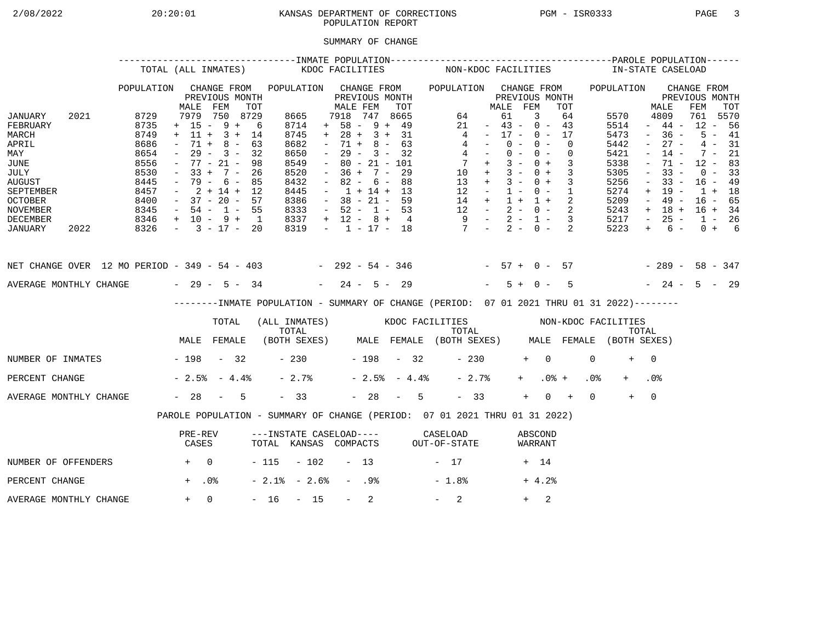## 2/08/2022 20:20:01 KANSAS DEPARTMENT OF CORRECTIONS PGM - ISR0333 PAGE 3POPULATION REPORT

## SUMMARY OF CHANGE

|                                                                                                                                        |      |                                                                                      | TOTAL (ALL INMATES)                                                                                                                                         |                                                 |     |                                                                                             | KDOC FACILITIES     |                                                                                                                                                                          |                  |                                                                    |     |                | NON-KDOC FACILITIES                                                                                                                            |                                                                                                 |                                  |                |            |                          |                            |                 | IN-STATE CASELOAD                                                                    |                                                                                                           |                                                                                                       |                                                                                       |                                              |  |
|----------------------------------------------------------------------------------------------------------------------------------------|------|--------------------------------------------------------------------------------------|-------------------------------------------------------------------------------------------------------------------------------------------------------------|-------------------------------------------------|-----|---------------------------------------------------------------------------------------------|---------------------|--------------------------------------------------------------------------------------------------------------------------------------------------------------------------|------------------|--------------------------------------------------------------------|-----|----------------|------------------------------------------------------------------------------------------------------------------------------------------------|-------------------------------------------------------------------------------------------------|----------------------------------|----------------|------------|--------------------------|----------------------------|-----------------|--------------------------------------------------------------------------------------|-----------------------------------------------------------------------------------------------------------|-------------------------------------------------------------------------------------------------------|---------------------------------------------------------------------------------------|----------------------------------------------|--|
|                                                                                                                                        |      | POPULATION                                                                           | MALE                                                                                                                                                        | CHANGE FROM<br>PREVIOUS MONTH<br>FEM            | TOT | POPULATION CHANGE FROM                                                                      |                     | MALE FEM                                                                                                                                                                 |                  | PREVIOUS MONTH                                                     | TOT |                | POPULATION CHANGE FROM                                                                                                                         |                                                                                                 | MALE FEM                         | PREVIOUS MONTH |            |                          | TOT                        |                 | POPULATION                                                                           |                                                                                                           | MALE                                                                                                  | CHANGE FROM<br>PREVIOUS MONTH<br>FEM                                                  | TOT                                          |  |
| JANUARY<br>FEBRUARY<br>MARCH<br>APRIL<br>MAY<br>JUNE<br>JULY<br><b>AUGUST</b><br>SEPTEMBER<br><b>OCTOBER</b><br>NOVEMBER               | 2021 | 8729<br>8735<br>8749<br>8686<br>8654<br>8556<br>8530<br>8445<br>8457<br>8400<br>8345 | $+ 15 - 9 + 6$<br>$+ 11 + 3 + 14$<br>$\sim$<br>$ \,$<br>$-77 - 21 -$<br>$-33 + 7 - 26$<br>$-79 - 6 - 85$<br>$-2+14+12$<br>$-37 - 20 - 57$<br>$-54 - 1 - 55$ | 7979 750 8729<br>$71 + 8 - 63$<br>$29 - 3 - 32$ | 98  | 8665<br>8714<br>8745<br>8682<br>8650<br>8549<br>8520<br>8432<br>8445<br>8386<br>8333        |                     | 7918 747 8665<br>$+ 58 - 9 + 49$<br>$+ 28 + 3 + 31$<br>$\sim$<br>$\sim$ $-$<br>$\sim$<br>$-36 + 7 - 29$<br>$\sim$<br>$-1 + 14 + 13$<br>$-38 - 21 - 59$<br>$-52 - 1 - 53$ |                  | $71 + 8 - 63$<br>$29 - 3 - 32$<br>$80 - 21 - 101$<br>$82 - 6 - 88$ |     |                | $\overline{4}$<br>$\begin{array}{ccccccccc} 14 & + & 1 & + & 1 & + & 2 \\ 12 & - & 2 & - & 0 & - & 2 \\ 9 & - & 2 & - & 1 & - & 3 \end{array}$ | 64<br>21<br>$4 -$<br>$4 -$<br>$7 +$<br>$10 + 3 - 0 + 3$<br>$13 + 3 - 0 + 3$<br>$12 - 1 - 0 - 1$ | $-43 - 0 - 43$<br>$-17 - 0 - 17$ | 61<br>$0 -$    | 3<br>$0 -$ | $0 - 0 -$<br>$3 - 0 + 3$ | 64<br>$\Omega$<br>$\Omega$ |                 | 5570<br>5514<br>5473<br>5442<br>5421<br>5338<br>5305<br>5256<br>5274<br>5209<br>5243 | $\sim$<br>$\sim$<br>$\overline{\phantom{a}}$<br>$\equiv$<br>$\overline{\phantom{a}}$<br>$+$<br>$\sim$ $-$ | 4809<br>$-44-$<br>$-36 -$<br>$27 -$<br>$14 -$<br>71 -<br>$33 -$<br>$33 -$<br>19 -<br>49 -<br>$+ 18 +$ | 761 5570<br>$12 - 56$<br>$12 - 83$<br>$16 - 49$<br>$1 + 18$<br>$16 - 65$<br>$16 + 34$ | $5 - 41$<br>$4 - 31$<br>$7 - 21$<br>$0 - 33$ |  |
| DECEMBER<br>JANUARY                                                                                                                    | 2022 | $8346 + 10 - 9 + 1$<br>$8326 - 3 - 17 - 20$                                          |                                                                                                                                                             |                                                 |     | 8337<br>8319                                                                                |                     | $+ 12 - 8 + 4$                                                                                                                                                           |                  |                                                                    |     |                | $-1$ $-17$ $-18$ $7$ $-2$ $-0$ $-2$                                                                                                            |                                                                                                 |                                  |                |            |                          |                            |                 | 5217<br>5223                                                                         | $\sim$ $-$<br>$+$                                                                                         | $25 -$<br>$6 -$                                                                                       | $1 - 26$                                                                              | $0 + 6$                                      |  |
| NET CHANGE OVER 12 MO PERIOD - 349 - 54 - 403 - 292 - 54 - 346 - 57 + 0 - 57 - 289 - 58 - 347<br>AVERAGE MONTHLY CHANGE $-29 - 5 - 34$ |      |                                                                                      |                                                                                                                                                             |                                                 |     |                                                                                             |                     | $-24 - 5 - 29$                                                                                                                                                           |                  |                                                                    |     |                |                                                                                                                                                |                                                                                                 |                                  | $5 + 0 -$      |            |                          | $5^{\circ}$                |                 | $-24 - 5 - 29$                                                                       |                                                                                                           |                                                                                                       |                                                                                       |                                              |  |
|                                                                                                                                        |      |                                                                                      |                                                                                                                                                             |                                                 |     | --------INMATE POPULATION - SUMMARY OF CHANGE (PERIOD: 07 01 2021 THRU 01 31 2022)--------  |                     |                                                                                                                                                                          |                  |                                                                    |     |                |                                                                                                                                                |                                                                                                 |                                  |                |            |                          |                            |                 |                                                                                      |                                                                                                           |                                                                                                       |                                                                                       |                                              |  |
|                                                                                                                                        |      |                                                                                      |                                                                                                                                                             | TOTAL                                           |     | (ALL INMATES) WOOC FACILITIES NON-KDOC FACILITIES                                           |                     |                                                                                                                                                                          |                  |                                                                    |     |                |                                                                                                                                                |                                                                                                 |                                  |                |            |                          |                            |                 |                                                                                      |                                                                                                           |                                                                                                       |                                                                                       |                                              |  |
|                                                                                                                                        |      |                                                                                      | MALE FEMALE                                                                                                                                                 |                                                 |     | TOTAL TOTAL TOTAL TOTAL TOTAL TOTAL TOTAL TOTAL TOTAL (BOTH SEXES) MALE FEMALE (BOTH SEXES) |                     |                                                                                                                                                                          |                  |                                                                    |     |                |                                                                                                                                                |                                                                                                 |                                  |                |            |                          |                            |                 |                                                                                      |                                                                                                           |                                                                                                       |                                                                                       |                                              |  |
| NUMBER OF INMATES - 198 - 32                                                                                                           |      |                                                                                      |                                                                                                                                                             |                                                 |     |                                                                                             | $-230$ $-198$ $-32$ |                                                                                                                                                                          |                  |                                                                    |     |                |                                                                                                                                                | $-230$                                                                                          |                                  |                | $+ 0$      |                          |                            | $\Omega$        | $+$                                                                                  | $\bigcap$                                                                                                 |                                                                                                       |                                                                                       |                                              |  |
| PERCENT CHANGE                                                                                                                         |      |                                                                                      | $-2.5$ $-4.4$ $-$                                                                                                                                           |                                                 |     | $-2.7%$                                                                                     |                     |                                                                                                                                                                          |                  |                                                                    |     | $-2.5% - 4.4%$ |                                                                                                                                                | $-2.7%$                                                                                         |                                  |                | $+$ $-$    | $.0%$ +                  |                            | .0 <sub>8</sub> |                                                                                      | .0 <sub>8</sub>                                                                                           |                                                                                                       |                                                                                       |                                              |  |
| AVERAGE MONTHLY CHANGE                                                                                                                 |      |                                                                                      | $-28 - 5$                                                                                                                                                   |                                                 |     | $-33$                                                                                       |                     |                                                                                                                                                                          |                  |                                                                    |     | $-28 - 5$      |                                                                                                                                                | $-33$                                                                                           |                                  |                | $+$        | $0 +$                    |                            | $\Omega$        | $+$                                                                                  | $\overline{0}$                                                                                            |                                                                                                       |                                                                                       |                                              |  |
|                                                                                                                                        |      |                                                                                      | PAROLE POPULATION - SUMMARY OF CHANGE (PERIOD: 07 01 2021 THRU 01 31 2022)                                                                                  |                                                 |     |                                                                                             |                     |                                                                                                                                                                          |                  |                                                                    |     |                |                                                                                                                                                |                                                                                                 |                                  |                |            |                          |                            |                 |                                                                                      |                                                                                                           |                                                                                                       |                                                                                       |                                              |  |
|                                                                                                                                        |      |                                                                                      | PRE-REV<br>CASES                                                                                                                                            |                                                 |     | ---INSTATE CASELOAD---- CASELOAD<br>TOTAL KANSAS COMPACTS OUT-OF-STATE                      |                     |                                                                                                                                                                          |                  |                                                                    |     |                |                                                                                                                                                |                                                                                                 |                                  |                |            | ABSCOND<br>WARRANT       |                            |                 |                                                                                      |                                                                                                           |                                                                                                       |                                                                                       |                                              |  |
| NUMBER OF OFFENDERS                                                                                                                    |      | $+$ 0                                                                                |                                                                                                                                                             |                                                 |     | $-115 - 102 - 13$                                                                           |                     |                                                                                                                                                                          |                  |                                                                    |     |                | $-17$                                                                                                                                          |                                                                                                 |                                  |                | + 14       |                          |                            |                 |                                                                                      |                                                                                                           |                                                                                                       |                                                                                       |                                              |  |
| PERCENT CHANGE                                                                                                                         |      |                                                                                      | $+$ .0%                                                                                                                                                     |                                                 |     | $-2.1$ % $-2.6$ %                                                                           |                     |                                                                                                                                                                          | - .98            |                                                                    |     |                | $-1.8%$                                                                                                                                        |                                                                                                 |                                  |                |            | $+4.2%$                  |                            |                 |                                                                                      |                                                                                                           |                                                                                                       |                                                                                       |                                              |  |
| AVERAGE MONTHLY CHANGE                                                                                                                 |      |                                                                                      | $+ 0$                                                                                                                                                       |                                                 |     | $-16 - 15$                                                                                  |                     |                                                                                                                                                                          | $\sim$ 100 $\mu$ | 2                                                                  |     |                | $-2$                                                                                                                                           |                                                                                                 |                                  |                | $+$        | 2                        |                            |                 |                                                                                      |                                                                                                           |                                                                                                       |                                                                                       |                                              |  |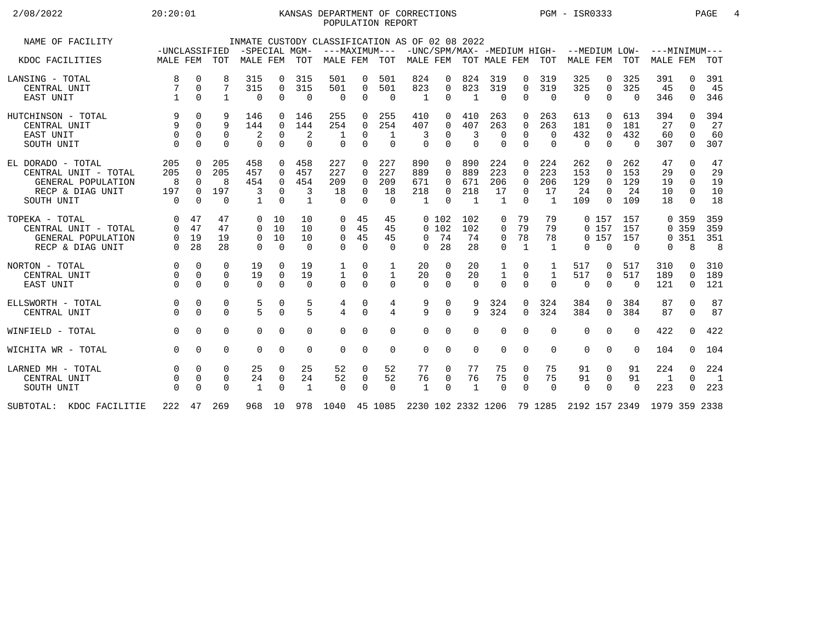## 2/08/2022 20:20:01 KANSAS DEPARTMENT OF CORRECTIONS PGM - ISR0333 PAGE 4POPULATION REPORT

| NAME OF FACILITY         |               |             |             |               |             |              | INMATE CUSTODY CLASSIFICATION AS OF 02 08 2022                          |             |               |              |          |                           |                |              |                |                                           |             |          |                 |              |                |
|--------------------------|---------------|-------------|-------------|---------------|-------------|--------------|-------------------------------------------------------------------------|-------------|---------------|--------------|----------|---------------------------|----------------|--------------|----------------|-------------------------------------------|-------------|----------|-----------------|--------------|----------------|
|                          | -UNCLASSIFIED |             |             | -SPECIAL MGM- |             |              |                                                                         |             | ---MAXIMUM--- |              |          |                           |                |              |                | -UNC/SPM/MAX- -MEDIUM HIGH- --MEDIUM LOW- |             |          | $---MINIMUM---$ |              |                |
| KDOC FACILITIES          | MALE FEM TOT  |             |             | MALE FEM      |             | TOT          | MALE FEM                                                                |             | TOT           |              |          | MALE FEM TOT MALE FEM TOT |                |              |                | MALE FEM                                  |             | TOT      | <b>MALE FEM</b> |              | TOT            |
| LANSING - TOTAL          | 8             | $\mathbf 0$ | 8           | 315           | 0           | 315          | 501                                                                     | 0           | 501           | 824          | 0        | 824                       | 319            | 0            | 319            | 325                                       | 0           | 325      | 391             | $\Omega$     | 391            |
| CENTRAL UNIT             |               | $\Omega$    | 7           | 315           | $\mathbf 0$ | 315          | 501                                                                     | 0           | 501           | 823          | 0        | 823                       | 319            | $\Omega$     | 319            | 325                                       | $\mathbf 0$ | 325      | 45              | $\Omega$     | 45             |
| EAST UNIT                |               | $\Omega$    | 1           | 0             | 0           | $\Omega$     | $\mathbf 0$                                                             | $\mathbf 0$ | $\Omega$      | 1            | 0        | $\mathbf 1$               | $\Omega$       | $\Omega$     | $\Omega$       | 0                                         | $\Omega$    | $\Omega$ | 346             | 0            | 346            |
| HUTCHINSON - TOTAL       | 9             | $\Omega$    | 9           | 146           | $\Omega$    | 146          | 255                                                                     | $\Omega$    | 255           | 410          | 0        | 410                       | 263            | 0            | 263            | 613                                       | $\Omega$    | 613      | 394             | <sup>n</sup> | 394            |
| CENTRAL UNIT             | 9             | $\Omega$    | 9           | 144           | 0           | 144          | 254                                                                     | 0           | 254           | 407          | 0        | 407                       | 263            | $\Omega$     | 263            | 181                                       | $\Omega$    | 181      | 27              | $\cap$       | 27             |
| EAST UNIT                | $\Omega$      | 0           | 0           | 2             | 0           | 2            |                                                                         | 0           | 1             | 3            | 0        | 3                         | 0              | $\Omega$     | $\Omega$       | 432                                       | $\mathbf 0$ | 432      | 60              |              | 60             |
| SOUTH UNIT               | $\Omega$      | $\Omega$    | $\Omega$    | $\Omega$      | $\Omega$    | $\Omega$     | $\Omega$                                                                | $\Omega$    | $\Omega$      | $\Omega$     | $\Omega$ | $\Omega$                  | $\Omega$       | $\Omega$     | $\Omega$       | $\Omega$                                  | $\Omega$    | $\Omega$ | 307             | $\Omega$     | 307            |
| EL DORADO - TOTAL        | 205           | $\Omega$    | 205         | 458           | $\Omega$    | 458          | 227                                                                     | $\Omega$    | 227           | 890          | 0        | 890                       | 224            | $\Omega$     | 224            | 262                                       | $\Omega$    | 262      | 47              | $\Omega$     | 47             |
| CENTRAL UNIT - TOTAL     | 205           | $\Omega$    | 205         | 457           | $\Omega$    | 457          | 227                                                                     | $\Omega$    | 227           | 889          | 0        | 889                       | 223            | $\Omega$     | 223            | 153                                       | $\Omega$    | 153      | 29              |              | 29             |
| GENERAL POPULATION       | 8             | $\Omega$    | 8           | 454           | $\Omega$    | 454          | 209                                                                     | $\Omega$    | 209           | 671          | 0        | 671                       | 206            | $\Omega$     | 206            | 129                                       | $\Omega$    | 129      | 19              | $\Omega$     | 19             |
| RECP & DIAG UNIT         | 197           | $\Omega$    | 197         | 3             | $\Omega$    | 3            | 18                                                                      | $\Omega$    | 18            | 218          | 0        | 218                       | 17             | $\Omega$     | 17             | 24                                        | $\Omega$    | 24       | 10              | $\Omega$     | 10             |
| SOUTH UNIT               | $\Omega$      | $\Omega$    | $\Omega$    | $\mathbf{1}$  | $\Omega$    | $\mathbf{1}$ | $\cap$                                                                  | $\Omega$    | $\Omega$      | $\mathbf{1}$ | $\Omega$ |                           | $\overline{1}$ | $\Omega$     | $\overline{1}$ | 109                                       | $\Omega$    | 109      | 18              | $\Omega$     | 18             |
| TOPEKA - TOTAL           | 0             | 47          | 47          | 0             | 10          | 10           | 0                                                                       | 45          | 45            |              | 0 102    | 102                       | 0              | 79           | 79             |                                           | 0, 157      | 157      |                 | 0 359        | 359            |
| CENTRAL UNIT - TOTAL     | $\Omega$      | 47          | 47          | $\Omega$      | 10          | 10           | $\Omega$                                                                | 45          | 45            |              | 0 102    | 102                       | 0              | 79           | 79             |                                           | 0, 157      | 157      |                 | 0 359        | 359            |
| GENERAL POPULATION       | $\Omega$      | 19          | 19          | 0             | 10          | 10           | 0                                                                       | 45          | 45            | $\Omega$     | 74       | 74                        | 0              | 78           | 78             |                                           | 0, 157      | 157      |                 | 0.351        | 351            |
| RECP & DIAG UNIT         | $\Omega$      | 28          | 28          | $\Omega$      | $\Omega$    | $\Omega$     | $\Omega$                                                                | $\Omega$    | $\Omega$      | $\Omega$     | 28       | 28                        | $\Omega$       | $\mathbf{1}$ | 1              | $\Omega$                                  | $\Omega$    | $\Omega$ | $\Omega$        | 8            | 8              |
| NORTON - TOTAL           | $\Omega$      | $\Omega$    | $\Omega$    | 19            | $\Omega$    | 19           | 1                                                                       | 0           | 1             | 20           | 0        | 20                        | 1              | $\Omega$     |                | 517                                       | 0           | 517      | 310             | <sup>n</sup> | 310            |
| CENTRAL UNIT             | $\Omega$      | $\Omega$    | $\mathbf 0$ | 19            | $\mathbf 0$ | 19           | $\mathbf{1}$                                                            | $\mathbf 0$ | 1             | 20           | 0        | 20                        | $\mathbf{1}$   | $\Omega$     | 1              | 517                                       | 0           | 517      | 189             | $\Omega$     | 189            |
| EAST UNIT                | $\Omega$      | $\Omega$    | $\Omega$    | $\Omega$      | $\mathbf 0$ | $\Omega$     | $\Omega$                                                                | $\Omega$    | $\Omega$      | $\Omega$     | $\Omega$ | $\Omega$                  | $\Omega$       | $\mathbf 0$  | $\Omega$       | 0                                         | $\Omega$    | $\Omega$ | 121             | $\mathbf 0$  | 121            |
| ELLSWORTH - TOTAL        | $\Omega$      | 0           | 0           | 5             | 0           | 5            | 4                                                                       | 0           | 4             | 9            | 0        | 9                         | 324            | 0            | 324            | 384                                       | $\Omega$    | 384      | 87              | $\Omega$     | 87             |
| CENTRAL UNIT             |               | $\Omega$    | $\Omega$    | 5             | $\Omega$    | 5            | $\overline{4}$                                                          | $\Omega$    | 4             | 9            | $\Omega$ | 9                         | 324            | $\Omega$     | 324            | 384                                       | $\Omega$    | 384      | 87              | $\Omega$     | 87             |
| WINFIELD - TOTAL         | $\Omega$      | $\Omega$    | $\Omega$    | $\Omega$      | $\Omega$    | $\Omega$     | $\Omega$                                                                | $\Omega$    | $\Omega$      | $\Omega$     | 0        | $\Omega$                  | $\Omega$       | $\Omega$     | 0              | $\Omega$                                  | $\Omega$    | $\Omega$ | 422             | $\cap$       | 422            |
| WICHITA WR - TOTAL       | $\Omega$      | $\Omega$    | $\Omega$    | $\Omega$      | $\Omega$    | $\Omega$     | $\Omega$                                                                | $\Omega$    | $\mathbf 0$   | $\Omega$     | 0        | $\Omega$                  | $\Omega$       | $\Omega$     | $\Omega$       | $\Omega$                                  | $\Omega$    | $\Omega$ | 104             | $\Omega$     | 104            |
| LARNED MH - TOTAL        | $\Omega$      | $\Omega$    | 0           | 25            | 0           | 25           | 52                                                                      | $\mathbf 0$ | 52            | 77           | 0        | 77                        | 75             | 0            | 75             | 91                                        | 0           | 91       | 224             | $\Omega$     | 224            |
| CENTRAL UNIT             |               | $\Omega$    | 0           | 24            | 0           | 24           | 52                                                                      | $\mathbf 0$ | 52            | 76           | 0        | 76                        | 75             | $\mathbf 0$  | 75             | 91                                        | 0           | 91       | 1               | $\Omega$     | $\overline{1}$ |
| SOUTH UNIT               | $\Omega$      | $\Omega$    | $\Omega$    | 1             | $\mathbf 0$ | $\mathbf{1}$ | $\Omega$                                                                | $\Omega$    | $\Omega$      | $\mathbf{1}$ | $\Omega$ | $\mathbf 1$               | $\Omega$       | $\Omega$     | $\mathbf 0$    | $\mathbf 0$                               | $\mathbf 0$ | $\Omega$ | 223             | $\Omega$     | 223            |
| SUBTOTAL: KDOC FACILITIE |               | 222 47      | 269         | 968 10        |             |              | 978 1040 45 1085 2230 102 2332 1206 79 1285 2192 157 2349 1979 359 2338 |             |               |              |          |                           |                |              |                |                                           |             |          |                 |              |                |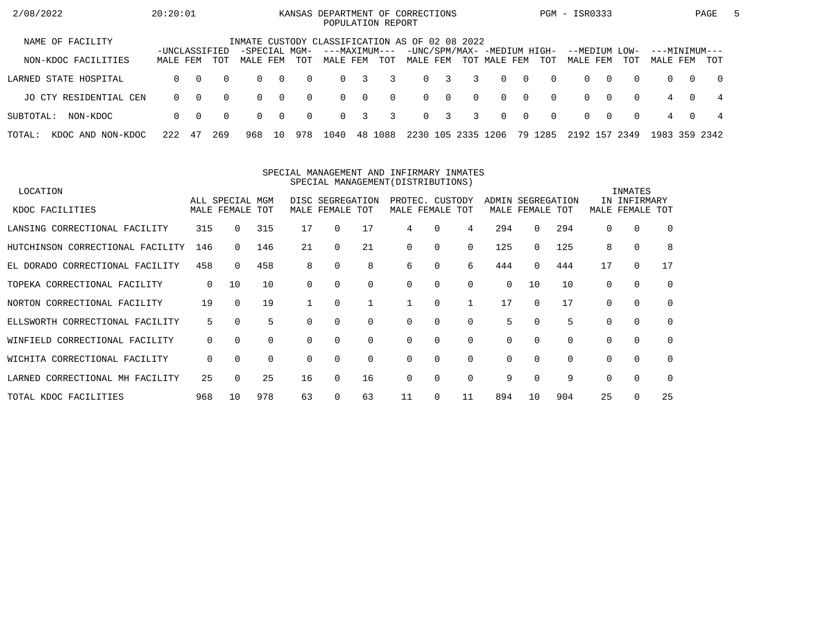| 2/08/2022                      | 20:20:01                  |          |          |                                                |                |          | KANSAS DEPARTMENT OF CORRECTIONS<br>POPULATION REPORT |          |          |          |                         |          |                                             |                |          | PGM - ISR0333        |          |             |                           |          | PAGE           | $\mathbf{b}$ |
|--------------------------------|---------------------------|----------|----------|------------------------------------------------|----------------|----------|-------------------------------------------------------|----------|----------|----------|-------------------------|----------|---------------------------------------------|----------------|----------|----------------------|----------|-------------|---------------------------|----------|----------------|--------------|
| NAME OF FACILITY               |                           |          |          | INMATE CUSTODY CLASSIFICATION AS OF 02 08 2022 |                |          |                                                       |          |          |          |                         |          |                                             |                |          |                      |          |             |                           |          |                |              |
| NON-KDOC FACILITIES            | -UNCLASSIFIED<br>MALE FEM |          | TOT      | -SPECIAL MGM-<br>MALE FEM                      |                | TOT      | ---MAXIMUM---<br>MALE FEM                             |          | TOT      | MALE FEM |                         |          | -UNC/SPM/MAX- -MEDIUM HIGH-<br>TOT MALE FEM |                | TOT      | --MEDIUM<br>MALE FEM |          | LOW-<br>TOT | ---MINIMUM---<br>MALE FEM |          | TOT            |              |
| LARNED STATE HOSPITAL          | $\Omega$                  | $\Omega$ | $\Omega$ | $\Omega$                                       | $\overline{0}$ | $\Omega$ | $\Omega$                                              | 3        | 3        | $\Omega$ | $\overline{\mathbf{3}}$ | 3        | $\Omega$                                    | $\overline{0}$ | $\Omega$ | $\Omega$             | $\Omega$ | $\Omega$    | $\Omega$                  | $\Omega$ | $\overline{0}$ |              |
| JO CTY RESIDENTIAL CEN         | $\Omega$                  | $\Omega$ | $\Omega$ | $\Omega$                                       | $\overline{0}$ | $\Omega$ | $\Omega$                                              | $\Omega$ | $\Omega$ |          | $0 \quad 0$             | $\Omega$ | $\Omega$                                    | $\overline{0}$ | $\Omega$ | $\Omega$             | $\Omega$ | $\Omega$    | 4                         | $\Omega$ | -4             |              |
| SUBTOTAL:<br>NON-KDOC          | $\Omega$                  | - 0      | $\Omega$ | $\Omega$                                       | $\bigcap$      | $\Omega$ | $\Omega$                                              | 3        | 3        |          | $0 \quad 3$             | 3        | $\Omega$                                    | $\overline{0}$ | $\Omega$ | $\Omega$             | $\Omega$ | $\Omega$    | 4                         | $\Omega$ | 4              |              |
| TOTAL:<br>NON-KDOC<br>KDOC AND | 222                       | 47       | 269      | 968                                            | 10             | 978      | 1040                                                  |          | 48 1088  | 2230     | 105                     | 2335     | 1206                                        |                | 79 1285  | 2192 157 2349        |          |             | 1983 359 2342             |          |                |              |

#### SPECIAL MANAGEMENT AND INFIRMARY INMATESSPECIAL MANAGEMENT(DISTRIBUTIONS)

| LOCATION                           |     |                 |     |          |                  |             |                 |          |          |          |             |             |          | INMATES      |             |
|------------------------------------|-----|-----------------|-----|----------|------------------|-------------|-----------------|----------|----------|----------|-------------|-------------|----------|--------------|-------------|
|                                    |     | ALL SPECIAL MGM |     |          | DISC SEGREGATION |             | PROTEC. CUSTODY |          |          | ADMIN    |             | SEGREGATION |          | IN INFIRMARY |             |
| KDOC FACILITIES                    |     | MALE FEMALE TOT |     | MALE     | FEMALE TOT       |             | MALE FEMALE TOT |          |          |          | MALE FEMALE | TOT         | MALE     | FEMALE       | TOT         |
| LANSING CORRECTIONAL FACILITY      | 315 | $\Omega$        | 315 | 17       | $\Omega$         | 17          | 4               | $\Omega$ | 4        | 294      | $\Omega$    | 294         |          | 0            | $\Omega$    |
| HUTCHINSON CORRECTIONAL FACILITY   | 146 |                 | 146 | 21       |                  | 21          | $\Omega$        | 0        | $\Omega$ | 125      | 0           | 125         | 8        | $\mathbf 0$  | 8           |
| EL DORADO CORRECTIONAL FACILITY    | 458 | $\Omega$        | 458 | 8        | 0                | 8           | 6               | 0        | 6        | 444      | 0           | 444         | 17       | 0            | 17          |
| TOPEKA CORRECTIONAL FACILITY       | 0   | 10              | 10  | $\Omega$ |                  | $\Omega$    | $\Omega$        | 0        | $\Omega$ | $\Omega$ | 10          | 10          | $\Omega$ | 0            | $\mathbf 0$ |
| NORTON CORRECTIONAL FACILITY       | 19  | $\Omega$        | 19  |          | $\Omega$         |             |                 | $\Omega$ |          | 17       | $\Omega$    | 17          | $\Omega$ | $\mathbf 0$  | $\Omega$    |
| ELLSWORTH CORRECTIONAL FACILITY    | 5   | $\Omega$        | 5   |          |                  | $\Omega$    | $\Omega$        | 0        | $\Omega$ | 5        | $\Omega$    | 5           |          | $\mathbf 0$  | $\mathbf 0$ |
| CORRECTIONAL FACILITY<br>WINFIELD  | 0   | $\Omega$        | 0   | $\Omega$ | $\Omega$         | $\mathbf 0$ | 0               | 0        | $\Omega$ | 0        | $\Omega$    | $\Omega$    | $\Omega$ | $\mathbf 0$  | $\Omega$    |
| WICHITA CORRECTIONAL FACILITY      | 0   | $\Omega$        | 0   | $\Omega$ | $\Omega$         | $\Omega$    | $\Omega$        | $\Omega$ | $\Omega$ | 0        | $\Omega$    | $\Omega$    | $\Omega$ | $\mathbf 0$  | $\Omega$    |
| CORRECTIONAL MH FACILITY<br>LARNED | 25  | $\Omega$        | 25  | 16       | 0                | 16          | $\Omega$        | $\Omega$ | $\Omega$ | 9        | $\Omega$    | 9           | $\Omega$ | $\Omega$     | $\Omega$    |
| TOTAL KDOC FACILITIES              | 968 | 10              | 978 | 63       |                  | 63          | 11              | 0        | 11       | 894      | 10          | 904         | 25       | 0            | 25          |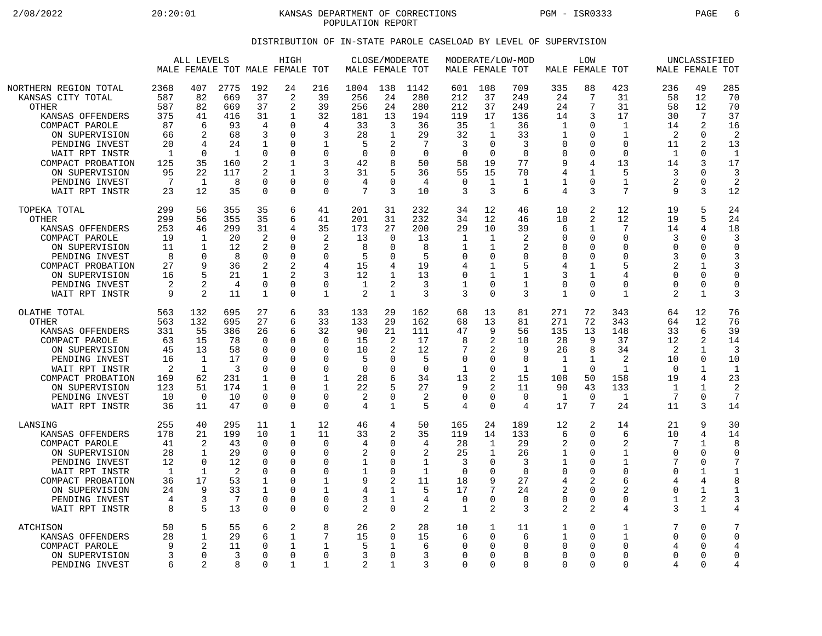2/08/2022 20:20:01 KANSAS DEPARTMENT OF CORRECTIONS PGM - ISR0333 PAGE 6 POPULATION REPORT

## DISTRIBUTION OF IN-STATE PAROLE CASELOAD BY LEVEL OF SUPERVISION

|                                                                                                                                                                                                                            |                                                                                     | ALL LEVELS                                                                         | MALE FEMALE TOT MALE FEMALE TOT                                                      |                                                                                                               | HIGH                                                                                                    |                                                                                                 | MALE FEMALE TOT                                                                 | CLOSE/MODERATE                                                                      |                                                                               | MALE FEMALE TOT                                                                          |                                                                                   | MODERATE/LOW-MOD                                                                           | MALE FEMALE TOT                                                                        | LOW                                                                                                             |                                                                                                                  |                                                                                                      | UNCLASSIFIED<br>MALE FEMALE TOT                                                             |                                                                                                        |
|----------------------------------------------------------------------------------------------------------------------------------------------------------------------------------------------------------------------------|-------------------------------------------------------------------------------------|------------------------------------------------------------------------------------|--------------------------------------------------------------------------------------|---------------------------------------------------------------------------------------------------------------|---------------------------------------------------------------------------------------------------------|-------------------------------------------------------------------------------------------------|---------------------------------------------------------------------------------|-------------------------------------------------------------------------------------|-------------------------------------------------------------------------------|------------------------------------------------------------------------------------------|-----------------------------------------------------------------------------------|--------------------------------------------------------------------------------------------|----------------------------------------------------------------------------------------|-----------------------------------------------------------------------------------------------------------------|------------------------------------------------------------------------------------------------------------------|------------------------------------------------------------------------------------------------------|---------------------------------------------------------------------------------------------|--------------------------------------------------------------------------------------------------------|
| NORTHERN REGION TOTAL<br>KANSAS CITY TOTAL<br>OTHER<br>KANSAS OFFENDERS<br>COMPACT PAROLE<br>ON SUPERVISION<br>PENDING INVEST<br>WAIT RPT INSTR<br>COMPACT PROBATION<br>ON SUPERVISION<br>PENDING INVEST<br>WAIT RPT INSTR | 2368<br>587<br>587<br>375<br>87<br>66<br>20<br>$\mathbf{1}$<br>125<br>95<br>7<br>23 | 407<br>82<br>82<br>41<br>6<br>2<br>4<br>$\Omega$<br>35<br>22<br>$\mathbf{1}$<br>12 | 2775<br>669<br>669<br>416<br>93<br>68<br>24<br>$\mathbf{1}$<br>160<br>117<br>8<br>35 | 192<br>37<br>37<br>31<br>4<br>3<br>1<br>$\Omega$<br>2<br>2<br>$\Omega$<br>$\Omega$                            | 24<br>2<br>2<br>1<br>$\Omega$<br>$\Omega$<br>O<br>$\Omega$<br>1<br>$\mathbf{1}$<br>$\Omega$<br>$\Omega$ | 216<br>39<br>39<br>32<br>$\overline{4}$<br>3<br>1<br>$\Omega$<br>3<br>3<br>$\Omega$<br>$\Omega$ | 1004<br>256<br>256<br>181<br>33<br>28<br>5<br>$\mathbf 0$<br>42<br>31<br>4<br>7 | 138<br>24<br>24<br>13<br>3<br>$\mathbf{1}$<br>2<br>$\Omega$<br>8<br>5<br>3          | 1142<br>280<br>280<br>194<br>36<br>29<br>7<br>$\Omega$<br>50<br>36<br>4<br>10 | 601<br>212<br>212<br>119<br>35<br>32<br>3<br>$\mathbf 0$<br>58<br>55<br>$\mathbf 0$<br>3 | 108<br>37<br>37<br>17<br>1<br>1<br>0<br>$\Omega$<br>19<br>15<br>$\mathbf{1}$<br>3 | 709<br>249<br>249<br>136<br>36<br>33<br>3<br>$\Omega$<br>77<br>70<br>1<br>6                | 335<br>24<br>24<br>14<br>1<br>1<br>$\Omega$<br>$\Omega$<br>9<br>4<br>$\mathbf{1}$<br>4 | 88<br>7<br>7<br>3<br>$\Omega$<br>$\Omega$<br>$\Omega$<br>$\mathbf 0$<br>4<br>$\mathbf 1$<br>$\overline{0}$<br>3 | 423<br>31<br>31<br>17<br>$\mathbf{1}$<br>$\mathbf{1}$<br>$\mathbf 0$<br>$\Omega$<br>13<br>5<br>$\mathbf 1$<br>7  | 236<br>58<br>58<br>30<br>14<br>$\overline{2}$<br>11<br>$\mathbf 1$<br>14<br>3<br>$\overline{2}$<br>9 | 49<br>12<br>12<br>7<br>2<br>$\Omega$<br>2<br>0<br>3<br>0<br>0<br>3                          | 285<br>70<br>70<br>37<br>16<br>$\overline{2}$<br>13<br>$\mathbf{1}$<br>17<br>3<br>$\overline{2}$<br>12 |
| TOPEKA TOTAL<br><b>OTHER</b><br>KANSAS OFFENDERS<br>COMPACT PAROLE<br>ON SUPERVISION<br>PENDING INVEST<br>COMPACT PROBATION<br>ON SUPERVISION<br>PENDING INVEST<br>WAIT RPT INSTR                                          | 299<br>299<br>253<br>19<br>11<br>8<br>27<br>16<br>2<br>9                            | 56<br>56<br>46<br>1<br>$\mathbf 1$<br>$\Omega$<br>9<br>2<br>$\mathcal{D}$          | 355<br>355<br>299<br>20<br>12<br>8<br>36<br>21<br>4<br>11                            | 35<br>35<br>31<br>2<br>2<br>$\Omega$<br>2<br>1<br>$\Omega$<br>1                                               | 6<br>6<br>4<br>$\Omega$<br>$\Omega$<br>$\Omega$<br>2<br>2<br>$\Omega$<br>$\Omega$                       | 41<br>41<br>35<br>2<br>2<br>$\Omega$<br>4<br>3<br>$\Omega$<br>$\mathbf{1}$                      | 201<br>201<br>173<br>13<br>8<br>5<br>15<br>12<br>1<br>$\overline{2}$            | 31<br>31<br>27<br>$\Omega$<br>$\Omega$<br>∩<br>4<br>-1<br>2<br>$\mathbf{1}$         | 232<br>232<br>200<br>13<br>8<br>5<br>19<br>13<br>3<br>3                       | 34<br>34<br>29<br>1<br>$\mathbf 1$<br>$\Omega$<br>4<br>$\mathbf 0$<br>$\mathbf 1$<br>3   | 12<br>12<br>10<br>$\mathbf{1}$<br>1<br>0<br>$\mathbf{1}$<br>1<br>0<br>$\Omega$    | 46<br>46<br>39<br>2<br>$\overline{2}$<br>$\Omega$<br>5<br>$\mathbf{1}$<br>$\mathbf 1$<br>3 | 10<br>10<br>6<br>$\Omega$<br>$\Omega$<br>∩<br>4<br>3<br>$\Omega$<br>$\mathbf{1}$       | 2<br>2<br>1<br>$\mathbf 0$<br>$\Omega$<br>$\Omega$<br>1<br>$\mathbf{1}$<br>$\mathbf 0$<br>$\Omega$              | 12<br>12<br>7<br>$\mathbf 0$<br>$\mathbf 0$<br>$\Omega$<br>5<br>4<br>$\mathbf 0$<br>$\mathbf{1}$                 | 19<br>19<br>14<br>3<br>$\Omega$<br>3<br>2<br>$\Omega$<br>$\Omega$<br>$\overline{2}$                  | 5<br>5<br>4<br>0<br>$\Omega$<br>$\Omega$<br>$\mathbf 1$<br>0<br>$\mathbf 0$<br>$\mathbf{1}$ | 24<br>24<br>18<br>3<br>$\Omega$<br>3<br>$\Omega$<br>$\mathbf 0$<br>3                                   |
| OLATHE TOTAL<br><b>OTHER</b><br>KANSAS OFFENDERS<br>COMPACT PAROLE<br>ON SUPERVISION<br>PENDING INVEST<br>WAIT RPT INSTR<br>COMPACT PROBATION<br>ON SUPERVISION<br>PENDING INVEST<br>WAIT RPT INSTR                        | 563<br>563<br>331<br>63<br>45<br>16<br>2<br>169<br>123<br>10<br>36                  | 132<br>132<br>55<br>15<br>13<br>1<br>1<br>62<br>51<br>$\overline{0}$<br>11         | 695<br>695<br>386<br>78<br>58<br>17<br>3<br>231<br>174<br>10<br>47                   | 27<br>27<br>26<br>$\Omega$<br>$\Omega$<br>$\Omega$<br>$\Omega$<br>$\mathbf 1$<br>1<br>$\mathbf 0$<br>$\Omega$ | 6<br>6<br>6<br>$\Omega$<br>0<br>0<br>$\Omega$<br>$\Omega$<br>O<br>$\Omega$<br>$\Omega$                  | 33<br>33<br>32<br>$\Omega$<br>$\Omega$<br>0<br>$\Omega$<br>$\mathbf{1}$<br>1<br>0<br>$\Omega$   | 133<br>133<br>90<br>15<br>10<br>5<br>$\mathbf 0$<br>28<br>22<br>2<br>4          | 29<br>29<br>21<br>2<br>2<br>0<br>$\Omega$<br>6<br>5<br>0<br>$\mathbf{1}$            | 162<br>162<br>111<br>17<br>12<br>5<br>$\mathbf 0$<br>34<br>27<br>2<br>5       | 68<br>68<br>47<br>8<br>7<br>$\mathbf 0$<br>1<br>13<br>9<br>$\mathbf 0$<br>4              | 13<br>13<br>9<br>2<br>2<br>0<br>0<br>2<br>2<br>0<br>0                             | 81<br>81<br>56<br>10<br>9<br>$\Omega$<br>1<br>15<br>11<br>$\mathbf 0$<br>$\overline{4}$    | 271<br>271<br>135<br>28<br>26<br>1<br>$\mathbf 1$<br>108<br>90<br>1<br>17              | 72<br>72<br>13<br>9<br>8<br>1<br>$\Omega$<br>50<br>43<br>$\overline{0}$<br>7                                    | 343<br>343<br>148<br>37<br>34<br>$\overline{2}$<br>$\mathbf 1$<br>158<br>133<br>1<br>24                          | 64<br>64<br>33<br>12<br>2<br>10<br>$\Omega$<br>19<br>$\mathbf{1}$<br>7<br>11                         | 12<br>12<br>6<br>2<br>1<br>0<br>1<br>4<br>$\mathbf{1}$<br>0<br>3                            | 76<br>76<br>39<br>14<br>3<br>10<br>$\mathbf{1}$<br>23<br>$\overline{2}$<br>7<br>14                     |
| LANSING<br>KANSAS OFFENDERS<br>COMPACT PAROLE<br>ON SUPERVISION<br>PENDING INVEST<br>WAIT RPT INSTR<br>COMPACT PROBATION<br>ON SUPERVISION<br>PENDING INVEST<br>WAIT RPT INSTR                                             | 255<br>178<br>41<br>28<br>12<br>1<br>36<br>24<br>4<br>8                             | 40<br>21<br>2<br>1<br>$\mathbf 0$<br>$\mathbf{1}$<br>17<br>9<br>3<br>5             | 295<br>199<br>43<br>29<br>12<br>2<br>53<br>33<br>7<br>13                             | 11<br>10<br>$\Omega$<br>0<br>$\Omega$<br>$\Omega$<br>1<br>1<br>$\Omega$<br>$\mathbf 0$                        | 1<br>$\mathbf{1}$<br>$\Omega$<br>0<br>0<br>$\Omega$<br>0<br>$\Omega$<br>$\Omega$<br>$\Omega$            | 12<br>11<br>$\Omega$<br>0<br>$\Omega$<br>$\Omega$<br>$\mathbf{1}$<br>1<br>0<br>$\Omega$         | 46<br>33<br>4<br>2<br>1<br>1<br>9<br>4<br>3<br>$\overline{2}$                   | 4<br>2<br><sup>0</sup><br><sup>0</sup><br>0<br>$\Omega$<br>2<br>-1<br>1<br>$\Omega$ | 50<br>35<br>4<br>2<br>1<br>$\mathbf{1}$<br>11<br>5<br>4<br>2                  | 165<br>119<br>28<br>25<br>3<br>$\Omega$<br>18<br>17<br>$\mathbf 0$<br>$\mathbf 1$        | 24<br>14<br>$\mathbf{1}$<br>$\mathbf{1}$<br>0<br>0<br>9<br>7<br>0<br>2            | 189<br>133<br>29<br>26<br>3<br>$\Omega$<br>27<br>24<br>$\Omega$<br>3                       | 12<br>6<br>2<br>1<br>1<br>$\Omega$<br>4<br>2<br>0<br>2                                 | 2<br>$\mathbf 0$<br>$\Omega$<br>$\Omega$<br>0<br>$\Omega$<br>2<br>0<br>$\mathbf 0$<br>$\overline{2}$            | 14<br>6<br>$\overline{2}$<br>$\mathbf{1}$<br>$\mathbf{1}$<br>$\Omega$<br>6<br>$\overline{2}$<br>$\mathbf 0$<br>4 | 21<br>10<br>7<br>$\Omega$<br>$\Omega$<br>4<br>$\Omega$<br>1<br>3                                     | 9<br>4<br>$\mathbf 1$<br>$\mathbf 0$<br>$\mathbf 0$<br>1<br>4<br>1<br>2<br>$\mathbf{1}$     | 30<br>14<br>8<br>$\Omega$<br>$\mathbf{1}$<br>8<br>1<br>3<br>4                                          |
| <b>ATCHISON</b><br>KANSAS OFFENDERS<br>COMPACT PAROLE<br>ON SUPERVISION<br>PENDING INVEST                                                                                                                                  | 50<br>28<br>9<br>6                                                                  | 5<br>$\mathbf{1}$<br>2<br>$\Omega$<br>2                                            | 55<br>29<br>11<br>3<br>8                                                             | 6<br>6<br>$\Omega$<br>$\Omega$<br>∩                                                                           | 2<br>$\mathbf{1}$<br>$\mathbf{1}$<br>$\Omega$<br>$\mathbf{1}$                                           | 8<br>7<br>1<br>$\Omega$<br>$\mathbf{1}$                                                         | 26<br>15<br>5<br>3<br>2                                                         | 2<br><sup>0</sup><br>1<br>$\Omega$<br>$\mathbf{1}$                                  | 28<br>15<br>6<br>3<br>3                                                       | 10<br>6<br>0<br>$\mathbf 0$<br>$\Omega$                                                  | 1<br>0<br>0<br>0<br>0                                                             | 11<br>6<br>0<br>$\Omega$<br>$\Omega$                                                       | 1<br>1<br>0<br>$\Omega$<br>0                                                           | $\mathbf 0$<br>$\Omega$<br>0<br>0<br>$\Omega$                                                                   | $\mathbf{1}$<br>$\mathbf{1}$<br>$\mathbf 0$<br>$\Omega$<br>$\Omega$                                              | 7<br>$\Omega$<br>4<br>$\Omega$<br>4                                                                  | $\Omega$<br>$\Omega$<br>0<br>$\Omega$<br>0                                                  | 7<br>$\Omega$<br>4<br>0<br>4                                                                           |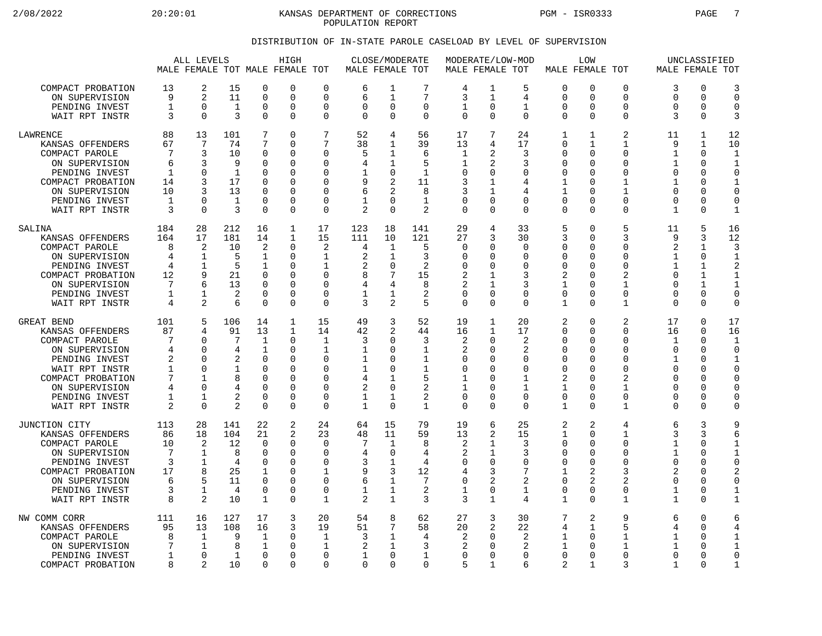2/08/2022 20:20:01 KANSAS DEPARTMENT OF CORRECTIONS PGM - ISR0333 PAGE 7 POPULATION REPORT

## DISTRIBUTION OF IN-STATE PAROLE CASELOAD BY LEVEL OF SUPERVISION

|                                                                                                                                                                                   |                                                                | ALL LEVELS                                                                                  |                                                                            |                                                                                                     | HIGH<br>MALE FEMALE TOT MALE FEMALE TOT                                                   |                                                                                                             | MALE FEMALE TOT                                             | CLOSE/MODERATE                                                                  |                                                                       | MODERATE/LOW-MOD<br>MALE FEMALE TOT                                                               |                                                                                                  |                                                                              |                                                                                                                  | LOW<br>MALE FEMALE TOT                                                                                              |                                                                           |                                                                                                       | UNCLASSIFIED<br>MALE FEMALE TOT                                           |                                                                                                   |
|-----------------------------------------------------------------------------------------------------------------------------------------------------------------------------------|----------------------------------------------------------------|---------------------------------------------------------------------------------------------|----------------------------------------------------------------------------|-----------------------------------------------------------------------------------------------------|-------------------------------------------------------------------------------------------|-------------------------------------------------------------------------------------------------------------|-------------------------------------------------------------|---------------------------------------------------------------------------------|-----------------------------------------------------------------------|---------------------------------------------------------------------------------------------------|--------------------------------------------------------------------------------------------------|------------------------------------------------------------------------------|------------------------------------------------------------------------------------------------------------------|---------------------------------------------------------------------------------------------------------------------|---------------------------------------------------------------------------|-------------------------------------------------------------------------------------------------------|---------------------------------------------------------------------------|---------------------------------------------------------------------------------------------------|
| COMPACT PROBATION<br>ON SUPERVISION<br>PENDING INVEST<br>WAIT RPT INSTR                                                                                                           | 13<br>9<br>$\mathbf{1}$<br>3                                   | 2<br>2<br>$\mathbf 0$<br>$\Omega$                                                           | 15<br>11<br>$\mathbf{1}$<br>3                                              | $\mathbf 0$<br>$\mathbf 0$<br>0<br>$\Omega$                                                         | 0<br>$\Omega$<br>0<br>0                                                                   | $\mathbf 0$<br>$\Omega$<br>0<br>$\mathbf 0$                                                                 | 6<br>6<br>$\Omega$<br>$\Omega$                              | 1<br>$\mathbf{1}$<br>0<br>$\Omega$                                              | 7<br>7<br>0<br>$\Omega$                                               | $\overline{4}$<br>3<br>1<br>$\Omega$                                                              | 1<br>$\mathbf{1}$<br>0<br>$\Omega$                                                               | 5<br>4<br>1<br>$\Omega$                                                      | $\mathbf 0$<br>$\Omega$<br>0<br>$\Omega$                                                                         | $\Omega$<br>$\Omega$<br>0<br>$\Omega$                                                                               | 0<br>$\Omega$<br>0<br>$\Omega$                                            | 3<br>$\Omega$<br>0<br>3                                                                               | 0<br>$\Omega$<br>0<br>$\Omega$                                            | 3<br>$\Omega$<br>$\Omega$<br>3                                                                    |
| LAWRENCE<br>KANSAS OFFENDERS<br>COMPACT PAROLE<br>ON SUPERVISION<br>PENDING INVEST<br>COMPACT PROBATION<br>ON SUPERVISION<br>PENDING INVEST<br>WAIT RPT INSTR                     | 88<br>67<br>7<br>6<br>1<br>14<br>10<br>1<br>3                  | 13<br>7<br>3<br>3<br>0<br>3<br>3<br>$\mathbf 0$<br>$\Omega$                                 | 101<br>74<br>10<br>9<br>1<br>17<br>13<br>$\mathbf{1}$<br>3                 | 7<br>7<br>$\mathbf 0$<br>$\Omega$<br>$\Omega$<br>$\mathbf 0$<br>$\Omega$<br>$\mathbf 0$<br>$\Omega$ | 0<br>0<br>0<br>$\Omega$<br>0<br>0<br>$\Omega$<br>0<br>0                                   | 7<br>7<br>$\Omega$<br>$\Omega$<br>$\Omega$<br>$\Omega$<br>$\Omega$<br>$\mathbf 0$<br>$\mathbf 0$            | 52<br>38<br>5<br>4<br>1<br>9<br>6<br>1<br>2                 | 4<br>1<br>$\mathbf{1}$<br>1<br>0<br>2<br>$\mathfrak{D}$<br>$\Omega$<br>$\Omega$ | 56<br>39<br>6<br>5<br>1<br>11<br>8<br>$\mathbf{1}$<br>2               | 17<br>13<br>1<br>1<br>$\Omega$<br>3<br>3<br>0<br>$\Omega$                                         | 7<br>4<br>2<br>2<br>0<br>1<br>1<br>$\mathbf 0$<br>$\Omega$                                       | 24<br>17<br>3<br>3<br><sup>n</sup><br>4<br>4<br>0<br>$\Omega$                | $\mathbf{1}$<br>$\Omega$<br>$\mathbf 0$<br>0<br>0<br>$\mathbf{1}$<br>$\mathbf{1}$<br>$\mathbf 0$<br>$\Omega$     | $\mathbf 1$<br>1<br>$\Omega$<br>$\Omega$<br><sup>0</sup><br>$\Omega$<br>$\cap$<br>0<br>$\Omega$                     | 2<br>1<br>0<br>$\Omega$<br>0<br>1<br>1<br>0<br>$\Omega$                   | 11<br>9<br>$\mathbf 1$<br>1<br>$\mathbf 0$<br>$\mathbf{1}$<br>$\Omega$<br>$\mathbf 0$<br>$\mathbf{1}$ | $\mathbf{1}$<br>1<br>$\Omega$<br>$\Omega$<br>O<br>0<br>O<br>0<br>$\Omega$ | 12<br>10<br>$\mathbf{1}$<br>$\mathbf{1}$<br>$\Omega$<br>$\mathbf{1}$<br>$\Omega$<br>$\Omega$<br>1 |
| SALINA<br>KANSAS OFFENDERS<br>COMPACT PAROLE<br>ON SUPERVISION<br>PENDING INVEST<br>COMPACT PROBATION<br>ON SUPERVISION<br>PENDING INVEST<br>WAIT RPT INSTR                       | 184<br>164<br>8<br>4<br>4<br>12<br>7<br>1<br>4                 | 28<br>17<br>2<br>1<br>1<br>9<br>6<br>$\mathbf{1}$<br>2                                      | 212<br>181<br>10<br>5<br>5<br>21<br>13<br>2<br>6                           | 16<br>14<br>2<br>1<br>1<br>$\Omega$<br>$\mathbf 0$<br>$\Omega$<br>$\mathbf 0$                       | 1<br>$\mathbf{1}$<br>0<br>0<br>$\Omega$<br>O<br>0<br>0<br>0                               | 17<br>15<br>2<br>1<br>1<br>$\Omega$<br>$\mathbf 0$<br>$\Omega$<br>$\mathbf 0$                               | 123<br>111<br>4<br>2<br>$\overline{2}$<br>8<br>4<br>1<br>3  | 18<br>10<br>1<br>1<br>$\mathbf 0$<br>7<br>4<br>1<br>2                           | 141<br>121<br>5<br>3<br>2<br>15<br>8<br>2<br>5                        | 29<br>27<br>$\Omega$<br>$\mathbf 0$<br>$\Omega$<br>$\overline{2}$<br>2<br>$\Omega$<br>$\mathbf 0$ | 4<br>3<br><sup>0</sup><br>$\Omega$<br><sup>0</sup><br>1<br>1<br>$\Omega$<br>$\Omega$             | 33<br>30<br>$\Omega$<br>0<br>$\Omega$<br>3<br>3<br>$\Omega$<br>$\Omega$      | 5<br>3<br>0<br>$\mathbf 0$<br>$\Omega$<br>2<br>1<br>$\mathbf 0$<br>$\mathbf{1}$                                  | 0<br>$\mathbf 0$<br>$\Omega$<br>0<br>$\Omega$<br>$\Omega$<br>$\mathbf 0$<br>$\Omega$<br>$\Omega$                    | 5<br>3<br>$\Omega$<br>0<br>$\Omega$<br>2<br>$\mathbf{1}$<br>$\Omega$<br>1 | 11<br>9<br>$\overline{2}$<br>1<br>$\mathbf{1}$<br>$\Omega$<br>$\Omega$<br>$\Omega$<br>$\Omega$        | 5<br>3<br>1<br>0<br>1<br>1<br>$\mathbf{1}$<br>$\Omega$<br>0               | 16<br>12<br>3<br>$\mathbf 1$<br>2<br>$\mathbf 1$<br>$\Omega$<br>$\Omega$                          |
| GREAT BEND<br>KANSAS OFFENDERS<br>COMPACT PAROLE<br>ON SUPERVISION<br>PENDING INVEST<br>WAIT RPT INSTR<br>COMPACT PROBATION<br>ON SUPERVISION<br>PENDING INVEST<br>WAIT RPT INSTR | 101<br>87<br>7<br>4<br>2<br>1<br>7<br>4<br>1<br>$\overline{2}$ | 5<br>4<br>$\Omega$<br>$\mathbf 0$<br>$\Omega$<br>$\Omega$<br>1<br>$\Omega$<br>1<br>$\Omega$ | 106<br>91<br>7<br>4<br>2<br>1<br>8<br>4<br>$\overline{2}$<br>$\mathcal{D}$ | 14<br>13<br>1<br>$\mathbf 1$<br>$\Omega$<br>$\Omega$<br>$\Omega$<br>$\mathbf 0$<br>0<br>$\Omega$    | $\mathbf{1}$<br>$\mathbf{1}$<br>0<br>0<br>$\Omega$<br>$\Omega$<br>$\Omega$<br>0<br>0<br>0 | 15<br>14<br>1<br>$\mathbf{1}$<br>$\Omega$<br>$\Omega$<br>$\Omega$<br>$\mathbf 0$<br>$\Omega$<br>$\mathbf 0$ | 49<br>42<br>3<br>1<br>$\mathbf{1}$<br>1<br>4<br>2<br>1<br>1 | 3<br>$\overline{a}$<br>$\cap$<br>0<br>O<br>$\Omega$<br>1<br>0<br>1<br>$\Omega$  | 52<br>44<br>3<br>$\mathbf 1$<br>1<br>1<br>5<br>2<br>2<br>$\mathbf{1}$ | 19<br>16<br>2<br>2<br>$\Omega$<br>$\Omega$<br>1<br>1<br>$\Omega$<br>$\mathbf 0$                   | $\mathbf{1}$<br>1<br>0<br>0<br>0<br>$\Omega$<br><sup>0</sup><br>$\Omega$<br>$\Omega$<br>$\Omega$ | 20<br>17<br>2<br>2<br>$\Omega$<br>$\Omega$<br>1<br>1<br>$\Omega$<br>$\Omega$ | 2<br>$\Omega$<br>0<br>$\mathbf 0$<br>$\Omega$<br>$\mathbf 0$<br>2<br>$\mathbf{1}$<br>$\mathbf 0$<br>$\mathbf{1}$ | $\mathbf 0$<br>$\Omega$<br>$\Omega$<br>$\mathbf 0$<br>$\Omega$<br>$\Omega$<br>$\Omega$<br>0<br>$\Omega$<br>$\Omega$ | 2<br>$\Omega$<br>U<br>0<br>O<br>0<br>2<br>$\mathbf{1}$<br>0<br>1          | 17<br>16<br>1<br>$\mathbf 0$<br>1<br>$\Omega$<br>$\Omega$<br>$\Omega$<br>$\Omega$<br>$\Omega$         | 0<br>$\Omega$<br>U<br>0<br>O<br>0<br>O<br>0<br>0<br>U                     | 17<br>16<br>1<br>$\Omega$<br>1<br>$\Omega$<br>$\Omega$<br>$\Omega$<br>$\Omega$<br>$\Omega$        |
| JUNCTION CITY<br>KANSAS OFFENDERS<br>COMPACT PAROLE<br>ON SUPERVISION<br>PENDING INVEST<br>COMPACT PROBATION<br>ON SUPERVISION<br>PENDING INVEST<br>WAIT RPT INSTR                | 113<br>86<br>10<br>7<br>3<br>17<br>6<br>3<br>8                 | 28<br>18<br>2<br>1<br>1<br>8<br>5<br>1<br>2                                                 | 141<br>104<br>12<br>8<br>4<br>25<br>11<br>4<br>10                          | 22<br>21<br>0<br>$\mathbf 0$<br>$\Omega$<br>$\mathbf 1$<br>0<br>0<br>$\mathbf 1$                    | 2<br>2<br>0<br>0<br>$\Omega$<br>0<br>$\Omega$<br>0<br>$\Omega$                            | 24<br>23<br>0<br>$\mathbf 0$<br>$\Omega$<br>$\mathbf{1}$<br>$\Omega$<br>0<br>$\mathbf{1}$                   | 64<br>48<br>7<br>4<br>3<br>9<br>6<br>1<br>2                 | 15<br>11<br>1<br>$\Omega$<br>1<br>3<br>1<br>1<br>$\mathbf{1}$                   | 79<br>59<br>8<br>4<br>4<br>12<br>7<br>2<br>3                          | 19<br>13<br>2<br>2<br>$\Omega$<br>4<br>$\Omega$<br>1<br>3                                         | 6<br>2<br>1<br>1<br>$\Omega$<br>3<br>2<br>0<br>$\mathbf{1}$                                      | 25<br>15<br>3<br>3<br>$\Omega$<br>7<br>2<br>1<br>$\overline{4}$              | 2<br>1<br>0<br>$\mathbf 0$<br>0<br>$\mathbf{1}$<br>$\Omega$<br>0<br>$\mathbf{1}$                                 | 2<br>$\Omega$<br>$\Omega$<br>$\mathbf 0$<br>$\Omega$<br>2<br>2<br>$\mathbf 0$<br>$\Omega$                           | 4<br>$\mathbf{1}$<br>0<br>0<br>$\Omega$<br>3<br>2<br>0<br>$\mathbf{1}$    | 6<br>3<br>1<br>$\mathbf{1}$<br>$\Omega$<br>2<br>$\Omega$<br>$\mathbf 1$<br>$\mathbf{1}$               | 3<br>3<br>0<br>0<br>O<br>0<br>O<br>$\Omega$<br>$\Omega$                   | 9<br>6<br>1<br>$\mathbf{1}$<br>2<br>$\Omega$<br>$\mathbf 1$                                       |
| NW COMM CORR<br>KANSAS OFFENDERS<br>COMPACT PAROLE<br>ON SUPERVISION<br>PENDING INVEST<br>COMPACT PROBATION                                                                       | 111<br>95<br>8<br>7<br>1<br>8                                  | 16<br>13<br>$\mathbf 1$<br>1<br>$\Omega$<br>2                                               | 127<br>108<br>9<br>8<br>1<br>10                                            | 17<br>16<br>1<br>1<br>$\mathbf 0$<br>$\Omega$                                                       | 3<br>3<br>0<br>0<br>0<br>0                                                                | 20<br>19<br>$\mathbf{1}$<br>1<br>$\mathbf 0$<br>$\Omega$                                                    | 54<br>51<br>3<br>2<br>1<br>$\Omega$                         | 8<br>7<br>1<br>$\mathbf{1}$<br>$\mathbf 0$<br>$\Omega$                          | 62<br>58<br>4<br>3<br>1<br>$\Omega$                                   | 27<br>20<br>$\overline{2}$<br>$\overline{2}$<br>$\Omega$<br>5                                     | 3<br>2<br>0<br>$\Omega$<br>0<br>1                                                                | 30<br>22<br>2<br>2<br>$\Omega$<br>6                                          | 7<br>4<br>1<br>1<br>$\mathbf 0$<br>2                                                                             | 2<br>1<br>$\Omega$<br>$\Omega$<br>$\mathbf 0$<br>1                                                                  | 9<br>5<br>1<br>1<br>$\Omega$<br>3                                         | 6<br>4<br>$\mathbf 1$<br>1<br>$\Omega$<br>1                                                           | 0<br>O<br>0<br>O<br>O<br>O                                                | 6<br>4<br>$\mathbf{1}$<br>$\Omega$<br>1                                                           |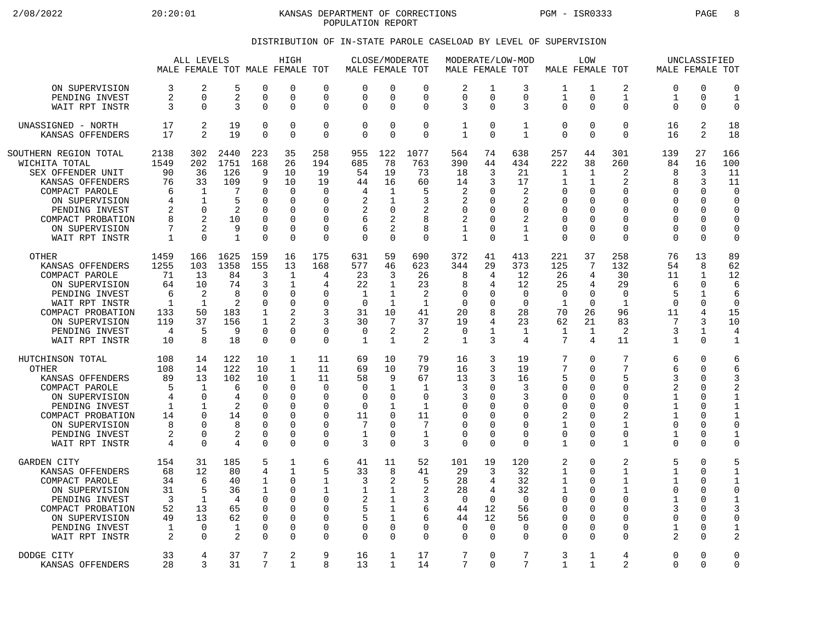2/08/2022 20:20:01 KANSAS DEPARTMENT OF CORRECTIONS PGM - ISR0333 PAGE 8 POPULATION REPORT

## DISTRIBUTION OF IN-STATE PAROLE CASELOAD BY LEVEL OF SUPERVISION

|                                                                                                                                                                                                |                                                        | ALL LEVELS                                                                                    |                                                                      |                                                                                                       | HIGH<br>MALE FEMALE TOT MALE FEMALE TOT                                                             |                                                                                                       | MALE FEMALE TOT                                                         |                                                                                             | CLOSE/MODERATE                                                                      | MALE FEMALE TOT                                                |                                                                                                 | MODERATE/LOW-MOD                                                                 | MALE FEMALE TOT                                                                                           | LOW                                                                                         |                                                                                                        |                                                          | UNCLASSIFIED                                                                                           | MALE FEMALE TOT                                                                                                          |
|------------------------------------------------------------------------------------------------------------------------------------------------------------------------------------------------|--------------------------------------------------------|-----------------------------------------------------------------------------------------------|----------------------------------------------------------------------|-------------------------------------------------------------------------------------------------------|-----------------------------------------------------------------------------------------------------|-------------------------------------------------------------------------------------------------------|-------------------------------------------------------------------------|---------------------------------------------------------------------------------------------|-------------------------------------------------------------------------------------|----------------------------------------------------------------|-------------------------------------------------------------------------------------------------|----------------------------------------------------------------------------------|-----------------------------------------------------------------------------------------------------------|---------------------------------------------------------------------------------------------|--------------------------------------------------------------------------------------------------------|----------------------------------------------------------|--------------------------------------------------------------------------------------------------------|--------------------------------------------------------------------------------------------------------------------------|
| ON SUPERVISION                                                                                                                                                                                 | 3                                                      | $\overline{2}$                                                                                | 5                                                                    | $\Omega$                                                                                              | 0                                                                                                   | $\Omega$                                                                                              | ∩                                                                       | $\Omega$                                                                                    | $\Omega$                                                                            | 2                                                              | $\mathbf{1}$                                                                                    | 3                                                                                | 1                                                                                                         | 1                                                                                           | 2                                                                                                      | 0                                                        | ∩                                                                                                      | $\overline{0}$                                                                                                           |
| PENDING INVEST                                                                                                                                                                                 | 2                                                      | $\Omega$                                                                                      | 2                                                                    | $\mathbf 0$                                                                                           | 0                                                                                                   | $\Omega$                                                                                              | $\Omega$                                                                | $\mathbf 0$                                                                                 | 0                                                                                   | 0                                                              | $\Omega$                                                                                        | $\mathbf 0$                                                                      | $\mathbf{1}$                                                                                              | 0                                                                                           | $\mathbf 1$                                                                                            | 1                                                        | $\mathbf 0$                                                                                            | $\mathbf{1}$                                                                                                             |
| WAIT RPT INSTR                                                                                                                                                                                 | 3                                                      | $\Omega$                                                                                      | ζ                                                                    | $\Omega$                                                                                              | 0                                                                                                   | $\Omega$                                                                                              | $\Omega$                                                                | $\Omega$                                                                                    | $\Omega$                                                                            | 3                                                              | $\Omega$                                                                                        | 3                                                                                | $\Omega$                                                                                                  | $\Omega$                                                                                    | $\Omega$                                                                                               | $\Omega$                                                 | $\Omega$                                                                                               | $\overline{0}$                                                                                                           |
| UNASSIGNED - NORTH                                                                                                                                                                             | 17                                                     | 2                                                                                             | 19                                                                   | $\mathbf 0$                                                                                           | 0                                                                                                   | $\mathbf 0$                                                                                           | $\Omega$                                                                | $\mathbf 0$                                                                                 | 0                                                                                   | 1                                                              | $\mathbf 0$                                                                                     | 1                                                                                | $\mathbf 0$                                                                                               | 0                                                                                           | $\mathbf 0$                                                                                            | 16                                                       | 2                                                                                                      | 18                                                                                                                       |
| KANSAS OFFENDERS                                                                                                                                                                               | 17                                                     | $\mathfrak{D}$                                                                                | 19                                                                   | $\Omega$                                                                                              | $\Omega$                                                                                            | $\Omega$                                                                                              | $\Omega$                                                                | $\Omega$                                                                                    | $\Omega$                                                                            | $\mathbf 1$                                                    | $\Omega$                                                                                        | $\mathbf{1}$                                                                     | $\Omega$                                                                                                  | $\Omega$                                                                                    | $\Omega$                                                                                               | 16                                                       | 2                                                                                                      | 18                                                                                                                       |
| SOUTHERN REGION TOTAL<br>WICHITA TOTAL<br>SEX OFFENDER UNIT<br>KANSAS OFFENDERS<br>COMPACT PAROLE<br>ON SUPERVISION<br>PENDING INVEST<br>COMPACT PROBATION<br>ON SUPERVISION<br>WAIT RPT INSTR | 2138<br>1549<br>90<br>76<br>6<br>4<br>2<br>8<br>7<br>1 | 302<br>202<br>36<br>33<br>$\mathbf{1}$<br>$\mathbf 1$<br>$\Omega$<br>$\mathfrak{D}$<br>2<br>∩ | 2440<br>1751<br>126<br>109<br>7<br>5<br>2<br>10<br>9<br>$\mathbf{1}$ | 223<br>168<br>9<br>9<br>$\Omega$<br>$\Omega$<br>$\Omega$<br>$\Omega$<br>$\Omega$<br>$\Omega$          | 35<br>26<br>10<br>10<br>$\Omega$<br>$\Omega$<br>$\Omega$<br>O<br>0<br>O                             | 258<br>194<br>19<br>19<br>$\Omega$<br>$\Omega$<br><sup>0</sup><br>$\Omega$<br>$\mathbf 0$<br>$\Omega$ | 955<br>685<br>54<br>44<br>4<br>2<br>2<br>6<br>6<br>$\Omega$             | 122<br>78<br>19<br>16<br>1<br>1<br>$\Omega$<br>$\overline{2}$<br>$\overline{2}$<br>$\Omega$ | 1077<br>763<br>73<br>60<br>5<br>3<br>2<br>8<br>8<br>0                               | 564<br>390<br>18<br>14<br>2<br>2<br>0<br>2<br>1<br>$\mathbf 1$ | 74<br>44<br>3<br>3<br><sup>0</sup><br><sup>n</sup><br>$\Omega$<br>$\Omega$<br>$\Omega$          | 638<br>434<br>21<br>17<br>2<br>2<br>0<br>2<br>1<br>$\mathbf{1}$                  | 257<br>222<br>1<br>1<br>0<br>$\Omega$<br>$\Omega$<br>$\Omega$<br>$\mathbf 0$<br>$\Omega$                  | 44<br>38<br>$\mathbf{1}$<br>$\mathbf{1}$<br>U<br>$\Omega$<br>U<br>U<br>$\Omega$<br>$\Omega$ | 301<br>260<br>2<br>$\overline{2}$<br>$\Omega$<br>$\mathbf 0$<br>0<br>$\Omega$<br>$\Omega$<br>0         | 139<br>84<br>8<br>8<br>U<br>U<br>0<br>U<br>0<br>$\Omega$ | 27<br>16<br>3<br>3<br>$\Omega$<br>$\mathbf 0$<br>$\Omega$<br>$\Omega$<br>0<br>$\Omega$                 | 166<br>100<br>11<br>11<br>$\Omega$<br>$\Omega$<br>$\Omega$<br>$\Omega$<br>0<br>$\Omega$                                  |
| <b>OTHER</b>                                                                                                                                                                                   | 1459                                                   | 166                                                                                           | 1625                                                                 | 159                                                                                                   | 16                                                                                                  | 175                                                                                                   | 631                                                                     | 59                                                                                          | 690                                                                                 | 372                                                            | 41                                                                                              | 413                                                                              | 221                                                                                                       | 37                                                                                          | 258                                                                                                    | 76                                                       | 13                                                                                                     | 89                                                                                                                       |
| KANSAS OFFENDERS                                                                                                                                                                               | 1255                                                   | 103                                                                                           | 1358                                                                 | 155                                                                                                   | 13                                                                                                  | 168                                                                                                   | 577                                                                     | 46                                                                                          | 623                                                                                 | 344                                                            | 29                                                                                              | 373                                                                              | 125                                                                                                       | 7                                                                                           | 132                                                                                                    | 54                                                       | 8                                                                                                      | 62                                                                                                                       |
| COMPACT PAROLE                                                                                                                                                                                 | 71                                                     | 13                                                                                            | 84                                                                   | 3                                                                                                     | 1                                                                                                   | 4                                                                                                     | 23                                                                      | 3                                                                                           | 26                                                                                  | 8                                                              | 4                                                                                               | 12                                                                               | 26                                                                                                        | 4                                                                                           | 30                                                                                                     | 11                                                       | 1                                                                                                      | 12                                                                                                                       |
| ON SUPERVISION                                                                                                                                                                                 | 64                                                     | 10                                                                                            | 74                                                                   | 3                                                                                                     | $\mathbf{1}$                                                                                        | 4                                                                                                     | 22                                                                      | $\mathbf{1}$                                                                                | 23                                                                                  | 8                                                              | 4                                                                                               | 12                                                                               | 25                                                                                                        | 4                                                                                           | 29                                                                                                     | 6                                                        | $\Omega$                                                                                               | 6                                                                                                                        |
| PENDING INVEST                                                                                                                                                                                 | 6                                                      | 2                                                                                             | 8                                                                    | $\Omega$                                                                                              | $\Omega$                                                                                            | ∩                                                                                                     | 1                                                                       | 1                                                                                           | 2                                                                                   | O                                                              | <sup>0</sup>                                                                                    | $\Omega$                                                                         | $\Omega$                                                                                                  | $\Omega$                                                                                    | $\Omega$                                                                                               | 5                                                        | $\mathbf{1}$                                                                                           | 6                                                                                                                        |
| WAIT RPT INSTR                                                                                                                                                                                 | 1                                                      | $\mathbf 1$                                                                                   | 2                                                                    | $\mathbf 0$                                                                                           | 0                                                                                                   | 0                                                                                                     | $\mathbf 0$                                                             | $\mathbf{1}$                                                                                | $\mathbf{1}$                                                                        | 0                                                              | $\Omega$                                                                                        | $\overline{0}$                                                                   | $\mathbf{1}$                                                                                              | 0                                                                                           | $\mathbf{1}$                                                                                           | 0                                                        | 0                                                                                                      | $\mathbf 0$                                                                                                              |
| COMPACT PROBATION                                                                                                                                                                              | 133                                                    | 50                                                                                            | 183                                                                  | 1                                                                                                     | $\overline{2}$                                                                                      | 3                                                                                                     | 31                                                                      | 10                                                                                          | 41                                                                                  | 20                                                             | 8                                                                                               | 28                                                                               | 70                                                                                                        | 26                                                                                          | 96                                                                                                     | 11                                                       | $\overline{4}$                                                                                         | 15                                                                                                                       |
| ON SUPERVISION                                                                                                                                                                                 | 119                                                    | 37                                                                                            | 156                                                                  | 1                                                                                                     | 2                                                                                                   | 3                                                                                                     | 30                                                                      | 7                                                                                           | 37                                                                                  | 19                                                             | 4                                                                                               | 23                                                                               | 62                                                                                                        | 21                                                                                          | 83                                                                                                     | 7                                                        | 3                                                                                                      | 10                                                                                                                       |
| PENDING INVEST                                                                                                                                                                                 | 4                                                      | 5                                                                                             | 9                                                                    | $\mathbf 0$                                                                                           | 0                                                                                                   | $\mathbf 0$                                                                                           | $\mathbf 0$                                                             | $\overline{2}$                                                                              | 2                                                                                   | 0                                                              | 1                                                                                               | 1                                                                                | $\mathbf 1$                                                                                               | 1                                                                                           | 2                                                                                                      | 3                                                        | $\mathbf{1}$                                                                                           | 4                                                                                                                        |
| WAIT RPT INSTR                                                                                                                                                                                 | 10                                                     | 8                                                                                             | 18                                                                   | $\Omega$                                                                                              | $\Omega$                                                                                            | $\Omega$                                                                                              | 1                                                                       | 1                                                                                           | 2                                                                                   | $\mathbf 1$                                                    | 3                                                                                               | 4                                                                                | $7\phantom{.0}$                                                                                           | 4                                                                                           | 11                                                                                                     | 1                                                        | $\Omega$                                                                                               | $\mathbf{1}$                                                                                                             |
| HUTCHINSON TOTAL<br><b>OTHER</b><br>KANSAS OFFENDERS<br>COMPACT PAROLE<br>ON SUPERVISION<br>PENDING INVEST<br>COMPACT PROBATION<br>ON SUPERVISION<br>PENDING INVEST<br>WAIT RPT INSTR          | 108<br>108<br>89<br>5<br>4<br>1<br>14<br>8<br>2<br>4   | 14<br>14<br>13<br>1<br>$\Omega$<br>1<br>$\Omega$<br>$\Omega$<br>$\Omega$<br>$\Omega$          | 122<br>122<br>102<br>6<br>4<br>2<br>14<br>8<br>2<br>4                | 10<br>10<br>10<br>$\Omega$<br>$\Omega$<br>$\Omega$<br>$\Omega$<br>$\Omega$<br>$\mathbf 0$<br>$\Omega$ | $\mathbf{1}$<br>$\mathbf{1}$<br>$\mathbf 1$<br>$\Omega$<br>$\Omega$<br>0<br>O<br>$\Omega$<br>0<br>O | 11<br>11<br>11<br>$\Omega$<br>$\Omega$<br>0<br>$\Omega$<br>$\Omega$<br>0<br>$\Omega$                  | 69<br>69<br>58<br>$\Omega$<br>$\Omega$<br>$\Omega$<br>11<br>7<br>1<br>3 | 10<br>10<br>9<br>1<br>$\Omega$<br>1<br>$\Omega$<br>$\Omega$<br>$\mathbf 0$<br>$\Omega$      | 79<br>79<br>67<br>$\mathbf{1}$<br>0<br>$\mathbf{1}$<br>11<br>7<br>$\mathbf{1}$<br>3 | 16<br>16<br>13<br>3<br>3<br>0<br>0<br>0<br>0<br>0              | 3<br>3<br>3<br><sup>0</sup><br><sup>n</sup><br><sup>n</sup><br>$\Omega$<br>$\Omega$<br>$\Omega$ | 19<br>19<br>16<br>3<br>3<br>0<br>$\Omega$<br>$\Omega$<br>$\mathbf 0$<br>$\Omega$ | 7<br>7<br>5<br>$\mathbf 0$<br>$\Omega$<br>$\mathbf 0$<br>2<br>$\mathbf{1}$<br>$\mathbf 0$<br>$\mathbf{1}$ | $\Omega$<br>$\Omega$<br>0<br>$\Omega$<br>U<br>U<br>U<br>$\Omega$<br>0<br>$\Omega$           | 7<br>7<br>5<br>$\Omega$<br>$\Omega$<br>$\mathbf 0$<br>2<br>$\mathbf{1}$<br>$\mathbf 0$<br>$\mathbf{1}$ | 6<br>6<br>ζ<br>2<br>1<br>1<br>1<br>$\Omega$<br>1<br>U    | $\Omega$<br>$\Omega$<br>0<br>$\Omega$<br>$\Omega$<br>$\Omega$<br>$\Omega$<br>$\Omega$<br>0<br>$\Omega$ | 6<br>6<br>3<br>$\overline{2}$<br>$\mathbf{1}$<br>$\mathbf{1}$<br>$\mathbf{1}$<br>$\Omega$<br>$\mathbf{1}$<br>$\mathbf 0$ |
| <b>GARDEN CITY</b>                                                                                                                                                                             | 154                                                    | 31                                                                                            | 185                                                                  | 5                                                                                                     | $\mathbf 1$                                                                                         | 6                                                                                                     | 41                                                                      | 11                                                                                          | 52                                                                                  | 101                                                            | 19                                                                                              | 120                                                                              | 2                                                                                                         | 0                                                                                           | 2                                                                                                      | 5                                                        | $\Omega$                                                                                               | 5                                                                                                                        |
| KANSAS OFFENDERS                                                                                                                                                                               | 68                                                     | 12                                                                                            | 80                                                                   | 4                                                                                                     | $\mathbf{1}$                                                                                        | 5                                                                                                     | 33                                                                      | 8                                                                                           | 41                                                                                  | 29                                                             | 3                                                                                               | 32                                                                               | $\mathbf{1}$                                                                                              | $\Omega$                                                                                    | $\mathbf{1}$                                                                                           | $\mathbf{1}$                                             | $\Omega$                                                                                               | $\mathbf{1}$                                                                                                             |
| COMPACT PAROLE                                                                                                                                                                                 | 34                                                     | 6                                                                                             | 40                                                                   | $\mathbf 1$                                                                                           | 0                                                                                                   | 1                                                                                                     | 3                                                                       | 2                                                                                           | 5                                                                                   | 28                                                             | 4                                                                                               | 32                                                                               | $\mathbf 1$                                                                                               | U                                                                                           | $\mathbf 1$                                                                                            | 1                                                        | 0                                                                                                      | $\mathbf 1$                                                                                                              |
| ON SUPERVISION                                                                                                                                                                                 | 31                                                     | 5                                                                                             | 36                                                                   | $\mathbf 1$                                                                                           | 0                                                                                                   | 1                                                                                                     | 1                                                                       | 1                                                                                           | 2                                                                                   | 28                                                             | 4                                                                                               | 32                                                                               | 1                                                                                                         | 0                                                                                           | $\mathbf{1}$                                                                                           | 0                                                        | 0                                                                                                      | $\mathbf 0$                                                                                                              |
| PENDING INVEST                                                                                                                                                                                 | 3                                                      | -1                                                                                            | 4                                                                    | $\Omega$                                                                                              | 0                                                                                                   | $\Omega$                                                                                              | $\overline{2}$                                                          | 1                                                                                           | 3                                                                                   | $\Omega$                                                       | $\Omega$                                                                                        | $\Omega$                                                                         | $\Omega$                                                                                                  | U                                                                                           | $\Omega$                                                                                               | 1                                                        | $\Omega$                                                                                               | $\mathbf{1}$                                                                                                             |
| COMPACT PROBATION                                                                                                                                                                              | 52                                                     | 13                                                                                            | 65                                                                   | $\Omega$                                                                                              | $\Omega$                                                                                            | $\Omega$                                                                                              | 5                                                                       | 1                                                                                           | 6                                                                                   | 44                                                             | 12                                                                                              | 56                                                                               | $\mathbf 0$                                                                                               | U                                                                                           | $\mathbf 0$                                                                                            | 3                                                        | 0                                                                                                      | 3                                                                                                                        |
| ON SUPERVISION                                                                                                                                                                                 | 49                                                     | 13                                                                                            | 62                                                                   | $\Omega$                                                                                              | $\Omega$                                                                                            | $\Omega$                                                                                              | 5                                                                       | 1                                                                                           | 6                                                                                   | 44                                                             | 12                                                                                              | 56                                                                               | 0                                                                                                         | $\Omega$                                                                                    | $\Omega$                                                                                               | U                                                        | $\Omega$                                                                                               | $\Omega$                                                                                                                 |
| PENDING INVEST                                                                                                                                                                                 | 1                                                      | $\Omega$                                                                                      | $\mathbf{1}$                                                         | $\Omega$                                                                                              | O                                                                                                   | $\Omega$                                                                                              | $\Omega$                                                                | $\Omega$                                                                                    | 0                                                                                   | $\Omega$                                                       | $\Omega$                                                                                        | 0                                                                                | $\mathbf 0$                                                                                               | U                                                                                           | 0                                                                                                      | 1                                                        | $\Omega$                                                                                               | $\mathbf{1}$                                                                                                             |
| WAIT RPT INSTR                                                                                                                                                                                 | 2                                                      | $\Omega$                                                                                      | $\overline{2}$                                                       | $\Omega$                                                                                              | 0                                                                                                   | $\mathbf 0$                                                                                           | $\mathbf 0$                                                             | $\Omega$                                                                                    | 0                                                                                   | 0                                                              | $\Omega$                                                                                        | $\Omega$                                                                         | $\mathbf 0$                                                                                               | $\Omega$                                                                                    | $\Omega$                                                                                               | 2                                                        | $\Omega$                                                                                               | $\overline{2}$                                                                                                           |
| DODGE CITY                                                                                                                                                                                     | 33                                                     | 4                                                                                             | 37                                                                   | 7                                                                                                     | 2                                                                                                   | 9                                                                                                     | 16                                                                      | 1                                                                                           | 17                                                                                  | 7                                                              | $\Omega$                                                                                        | 7                                                                                | 3                                                                                                         | 1                                                                                           | 4                                                                                                      | 0                                                        | $\Omega$                                                                                               | $\Omega$                                                                                                                 |
| KANSAS OFFENDERS                                                                                                                                                                               | 28                                                     | ζ                                                                                             | 31                                                                   | 7                                                                                                     | $\mathbf{1}$                                                                                        | 8                                                                                                     | 13                                                                      | 1                                                                                           | 14                                                                                  | 7                                                              | $\Omega$                                                                                        | 7                                                                                | $\mathbf{1}$                                                                                              | $\mathbf{1}$                                                                                | 2                                                                                                      | $\Omega$                                                 | $\Omega$                                                                                               | $\Omega$                                                                                                                 |